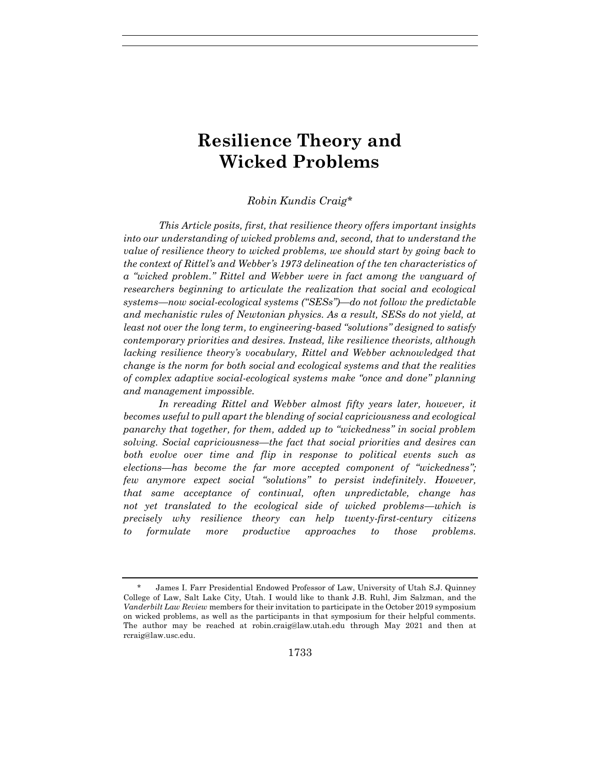# **Resilience Theory and Wicked Problems**

## *Robin Kundis Craig\**

*This Article posits, first, that resilience theory offers important insights into our understanding of wicked problems and, second, that to understand the value of resilience theory to wicked problems, we should start by going back to the context of Rittel's and Webber's 1973 delineation of the ten characteristics of a "wicked problem." Rittel and Webber were in fact among the vanguard of researchers beginning to articulate the realization that social and ecological systems—now social-ecological systems ("SESs")—do not follow the predictable and mechanistic rules of Newtonian physics. As a result, SESs do not yield, at least not over the long term, to engineering-based "solutions" designed to satisfy contemporary priorities and desires. Instead, like resilience theorists, although lacking resilience theory's vocabulary, Rittel and Webber acknowledged that change is the norm for both social and ecological systems and that the realities of complex adaptive social-ecological systems make "once and done" planning and management impossible.*

In rereading Rittel and Webber almost fifty years later, however, it *becomes useful to pull apart the blending of social capriciousness and ecological panarchy that together, for them, added up to "wickedness" in social problem solving. Social capriciousness—the fact that social priorities and desires can both evolve over time and flip in response to political events such as elections—has become the far more accepted component of "wickedness"; few anymore expect social "solutions" to persist indefinitely. However, that same acceptance of continual, often unpredictable, change has not yet translated to the ecological side of wicked problems—which is precisely why resilience theory can help twenty-first-century citizens to formulate more productive approaches to those problems.*

<sup>\*</sup> James I. Farr Presidential Endowed Professor of Law, University of Utah S.J. Quinney College of Law, Salt Lake City, Utah. I would like to thank J.B. Ruhl, Jim Salzman, and the *Vanderbilt Law Review* members for their invitation to participate in the October 2019 symposium on wicked problems, as well as the participants in that symposium for their helpful comments. The author may be reached at robin.craig@law.utah.edu through May 2021 and then at rcraig@law.usc.edu.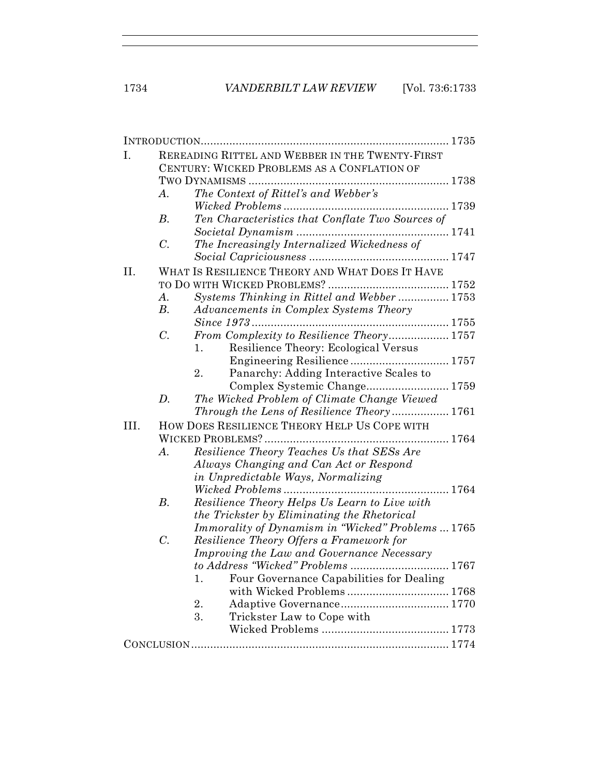| I.   |                                             | REREADING RITTEL AND WEBBER IN THE TWENTY-FIRST   |  |  |  |
|------|---------------------------------------------|---------------------------------------------------|--|--|--|
|      | CENTURY: WICKED PROBLEMS AS A CONFLATION OF |                                                   |  |  |  |
|      |                                             |                                                   |  |  |  |
|      | $A$ .                                       | The Context of Rittel's and Webber's              |  |  |  |
|      |                                             |                                                   |  |  |  |
|      | $B$ .                                       | Ten Characteristics that Conflate Two Sources of  |  |  |  |
|      |                                             |                                                   |  |  |  |
|      | $\mathcal{C}$ .                             | The Increasingly Internalized Wickedness of       |  |  |  |
|      |                                             |                                                   |  |  |  |
| Η.   |                                             | WHAT IS RESILIENCE THEORY AND WHAT DOES IT HAVE   |  |  |  |
|      |                                             |                                                   |  |  |  |
|      | A.                                          | Systems Thinking in Rittel and Webber  1753       |  |  |  |
|      | $B_{\cdot}$                                 | Advancements in Complex Systems Theory            |  |  |  |
|      |                                             |                                                   |  |  |  |
|      | $C$ .                                       | From Complexity to Resilience Theory 1757         |  |  |  |
|      |                                             | Resilience Theory: Ecological Versus<br>1.        |  |  |  |
|      |                                             |                                                   |  |  |  |
|      |                                             | Panarchy: Adding Interactive Scales to<br>2.      |  |  |  |
|      |                                             | Complex Systemic Change 1759                      |  |  |  |
|      | D.                                          | The Wicked Problem of Climate Change Viewed       |  |  |  |
|      |                                             | Through the Lens of Resilience Theory 1761        |  |  |  |
| III. |                                             | HOW DOES RESILIENCE THEORY HELP US COPE WITH      |  |  |  |
|      |                                             |                                                   |  |  |  |
|      | $A$ .                                       | Resilience Theory Teaches Us that SESs Are        |  |  |  |
|      |                                             | Always Changing and Can Act or Respond            |  |  |  |
|      |                                             | in Unpredictable Ways, Normalizing                |  |  |  |
|      |                                             |                                                   |  |  |  |
|      | $B$ .                                       | Resilience Theory Helps Us Learn to Live with     |  |  |  |
|      |                                             | the Trickster by Eliminating the Rhetorical       |  |  |  |
|      |                                             | Immorality of Dynamism in "Wicked" Problems  1765 |  |  |  |
|      | $C$ .                                       | Resilience Theory Offers a Framework for          |  |  |  |
|      |                                             | Improving the Law and Governance Necessary        |  |  |  |
|      |                                             | to Address "Wicked" Problems  1767                |  |  |  |
|      |                                             | Four Governance Capabilities for Dealing<br>Ī.    |  |  |  |
|      |                                             | with Wicked Problems 1768                         |  |  |  |
|      |                                             | 2.                                                |  |  |  |
|      |                                             | 3.<br>Trickster Law to Cope with                  |  |  |  |
|      |                                             |                                                   |  |  |  |
|      |                                             |                                                   |  |  |  |
|      |                                             |                                                   |  |  |  |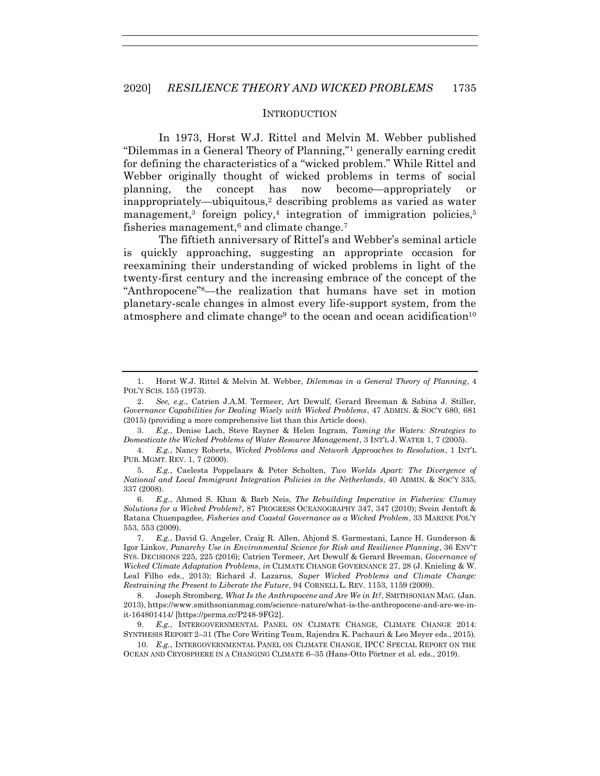#### <span id="page-2-2"></span><span id="page-2-1"></span><span id="page-2-0"></span>**INTRODUCTION**

In 1973, Horst W.J. Rittel and Melvin M. Webber published "Dilemmas in a General Theory of Planning,"<sup>1</sup> generally earning credit for defining the characteristics of a "wicked problem." While Rittel and Webber originally thought of wicked problems in terms of social planning, the concept has now become—appropriately or inappropriately—ubiquitous,<sup>2</sup> describing problems as varied as water management,<sup>3</sup> foreign policy,<sup>4</sup> integration of immigration policies,<sup>5</sup> fisheries management, $6$  and climate change.<sup>7</sup>

The fiftieth anniversary of Rittel's and Webber's seminal article is quickly approaching, suggesting an appropriate occasion for reexamining their understanding of wicked problems in light of the twenty-first century and the increasing embrace of the concept of the "Anthropocene"8—the realization that humans have set in motion planetary-scale changes in almost every life-support system, from the atmosphere and climate change<sup>9</sup> to the ocean and ocean acidification<sup>10</sup>

3. *E.g.*, Denise Lach, Steve Rayner & Helen Ingram, *Taming the Waters: Strategies to Domesticate the Wicked Problems of Water Resource Management*, 3 INT'L J. WATER 1, 7 (2005).

4. *E.g.*, Nancy Roberts, *Wicked Problems and Network Approaches to Resolution*, 1 INT'L PUB. MGMT. REV. 1, 7 (2000).

5. *E.g.*, Caelesta Poppelaars & Peter Scholten, *Two Worlds Apart: The Divergence of National and Local Immigrant Integration Policies in the Netherlands*, 40 ADMIN. & SOC'Y 335, 337 (2008).

6. *E.g.*, Ahmed S. Khan & Barb Neis, *The Rebuilding Imperative in Fisheries: Clumsy Solutions for a Wicked Problem?*, 87 PROGRESS OCEANOGRAPHY 347, 347 (2010); Svein Jentoft & Ratana Chuenpagdee, *Fisheries and Coastal Governance as a Wicked Problem*, 33 MARINE POL'Y 553, 553 (2009).

7. *E.g.*, David G. Angeler, Craig R. Allen, Ahjond S. Garmestani, Lance H. Gunderson & Igor Linkov, *Panarchy Use in Environmental Science for Risk and Resilience Planning*, 36 ENV'T SYS. DECISIONS 225, 225 (2016); Catrien Termeer, Art Dewulf & Gerard Breeman, *Governance of Wicked Climate Adaptation Problems*, *in* CLIMATE CHANGE GOVERNANCE 27, 28 (J. Knieling & W. Leal Filho eds., 2013); Richard J. Lazarus, *Super Wicked Problems and Climate Change: Restraining the Present to Liberate the Future*, 94 CORNELL L. REV. 1153, 1159 (2009).

8. Joseph Stromberg, *What Is the Anthropocene and Are We in It?*, SMITHSONIAN MAG. (Jan. 2013), https://www.smithsonianmag.com/science-nature/what-is-the-anthropocene-and-are-we-init-164801414/ [https://perma.cc/P248-9FG2].

E.g., INTERGOVERNMENTAL PANEL ON CLIMATE CHANGE, CLIMATE CHANGE 2014: SYNTHESIS REPORT 2–31 (The Core Writing Team, Rajendra K. Pachauri & Leo Meyer eds., 2015).

10. *E.g.*, INTERGOVERNMENTAL PANEL ON CLIMATE CHANGE, IPCC SPECIAL REPORT ON THE OCEAN AND CRYOSPHERE IN A CHANGING CLIMATE 6–35 (Hans-Otto Pörtner et al. eds., 2019).

<span id="page-2-3"></span><sup>1.</sup> Horst W.J. Rittel & Melvin M. Webber, *Dilemmas in a General Theory of Planning*, 4 POL'Y SCIS. 155 (1973).

<sup>2.</sup> *See, e.g.*, Catrien J.A.M. Termeer, Art Dewulf, Gerard Breeman & Sabina J. Stiller, *Governance Capabilities for Dealing Wisely with Wicked Problems*, 47 ADMIN. & SOC'Y 680, 681 (2015) (providing a more comprehensive list than this Article does).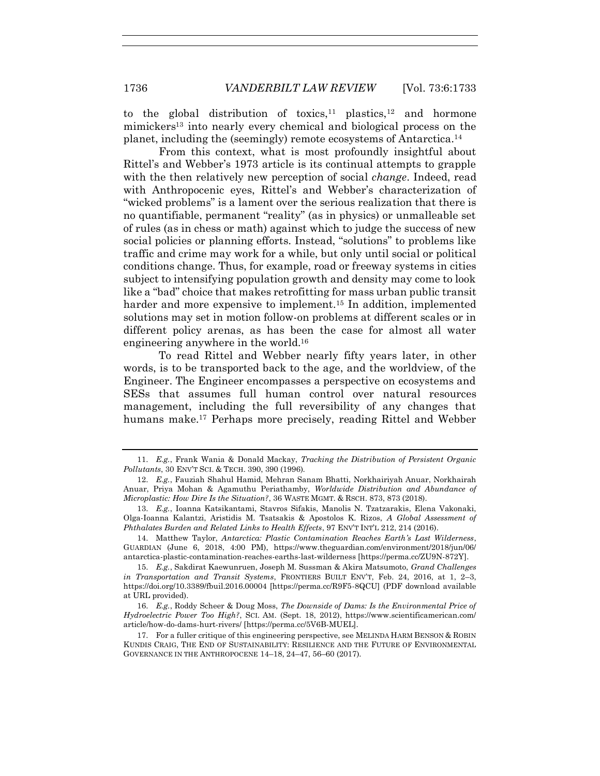to the global distribution of toxics,<sup>11</sup> plastics,<sup>12</sup> and hormone mimickers<sup>13</sup> into nearly every chemical and biological process on the planet, including the (seemingly) remote ecosystems of Antarctica.<sup>14</sup>

From this context, what is most profoundly insightful about Rittel's and Webber's 1973 article is its continual attempts to grapple with the then relatively new perception of social *change*. Indeed, read with Anthropocenic eyes, Rittel's and Webber's characterization of "wicked problems" is a lament over the serious realization that there is no quantifiable, permanent "reality" (as in physics) or unmalleable set of rules (as in chess or math) against which to judge the success of new social policies or planning efforts. Instead, "solutions" to problems like traffic and crime may work for a while, but only until social or political conditions change. Thus, for example, road or freeway systems in cities subject to intensifying population growth and density may come to look like a "bad" choice that makes retrofitting for mass urban public transit harder and more expensive to implement.<sup>15</sup> In addition, implemented solutions may set in motion follow-on problems at different scales or in different policy arenas, as has been the case for almost all water engineering anywhere in the world.<sup>16</sup>

To read Rittel and Webber nearly fifty years later, in other words, is to be transported back to the age, and the worldview, of the Engineer. The Engineer encompasses a perspective on ecosystems and SESs that assumes full human control over natural resources management, including the full reversibility of any changes that humans make.<sup>17</sup> Perhaps more precisely, reading Rittel and Webber

<span id="page-3-0"></span><sup>11.</sup> *E.g.*, Frank Wania & Donald Mackay, *Tracking the Distribution of Persistent Organic Pollutants*, 30 ENV'T SCI. & TECH. 390, 390 (1996).

<sup>12.</sup> *E.g.*, Fauziah Shahul Hamid, Mehran Sanam Bhatti, Norkhairiyah Anuar, Norkhairah Anuar, Priya Mohan & Agamuthu Periathamby, *Worldwide Distribution and Abundance of Microplastic: How Dire Is the Situation?*, 36 WASTE MGMT. & RSCH. 873, 873 (2018).

<sup>13.</sup> *E.g.*, Ioanna Katsikantami, Stavros Sifakis, Manolis N. Tzatzarakis, Elena Vakonaki, Olga-Ioanna Kalantzi, Aristidis M. Tsatsakis & Apostolos K. Rizos, *A Global Assessment of Phthalates Burden and Related Links to Health Effects*, 97 ENV'T INT'L 212, 214 (2016).

<sup>14.</sup> Matthew Taylor, *Antarctica: Plastic Contamination Reaches Earth's Last Wilderness*, GUARDIAN (June 6, 2018, 4:00 PM), https://www.theguardian.com/environment/2018/jun/06/ antarctica-plastic-contamination-reaches-earths-last-wilderness [https://perma.cc/ZU9N-872Y].

<sup>15.</sup> *E.g.*, Sakdirat Kaewunruen, Joseph M. Sussman & Akira Matsumoto, *Grand Challenges in Transportation and Transit Systems*, FRONTIERS BUILT ENV'T, Feb. 24, 2016, at 1, 2–3, https://doi.org/10.3389/fbuil.2016.00004 [https://perma.cc/R9F5-8QCU] (PDF download available at URL provided).

<sup>16.</sup> *E.g.*, Roddy Scheer & Doug Moss, *The Downside of Dams: Is the Environmental Price of Hydroelectric Power Too High?*, SCI. AM. (Sept. 18, 2012), https://www.scientificamerican.com/ article/how-do-dams-hurt-rivers/ [https://perma.cc/5V6B-MUEL].

<sup>17.</sup> For a fuller critique of this engineering perspective, see MELINDA HARM BENSON & ROBIN KUNDIS CRAIG, THE END OF SUSTAINABILITY: RESILIENCE AND THE FUTURE OF ENVIRONMENTAL GOVERNANCE IN THE ANTHROPOCENE 14–18, 24–47, 56–60 (2017).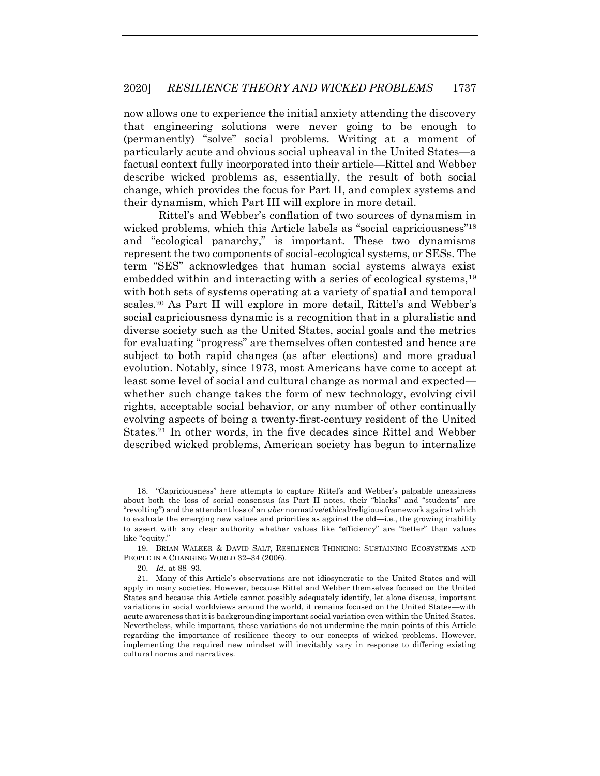now allows one to experience the initial anxiety attending the discovery that engineering solutions were never going to be enough to (permanently) "solve" social problems. Writing at a moment of particularly acute and obvious social upheaval in the United States—a factual context fully incorporated into their article—Rittel and Webber describe wicked problems as, essentially, the result of both social change, which provides the focus for Part II, and complex systems and their dynamism, which Part III will explore in more detail.

<span id="page-4-0"></span>Rittel's and Webber's conflation of two sources of dynamism in wicked problems, which this Article labels as "social capriciousness"<sup>18</sup> and "ecological panarchy," is important. These two dynamisms represent the two components of social-ecological systems, or SESs. The term "SES" acknowledges that human social systems always exist embedded within and interacting with a series of ecological systems.<sup>19</sup> with both sets of systems operating at a variety of spatial and temporal scales.<sup>20</sup> As Part II will explore in more detail, Rittel's and Webber's social capriciousness dynamic is a recognition that in a pluralistic and diverse society such as the United States, social goals and the metrics for evaluating "progress" are themselves often contested and hence are subject to both rapid changes (as after elections) and more gradual evolution. Notably, since 1973, most Americans have come to accept at least some level of social and cultural change as normal and expected whether such change takes the form of new technology, evolving civil rights, acceptable social behavior, or any number of other continually evolving aspects of being a twenty-first-century resident of the United States.<sup>21</sup> In other words, in the five decades since Rittel and Webber described wicked problems, American society has begun to internalize

<sup>18.</sup> "Capriciousness" here attempts to capture Rittel's and Webber's palpable uneasiness about both the loss of social consensus (as Part II notes, their "blacks" and "students" are "revolting") and the attendant loss of an *uber* normative/ethical/religious framework against which to evaluate the emerging new values and priorities as against the old—i.e., the growing inability to assert with any clear authority whether values like "efficiency" are "better" than values like "equity."

<sup>19.</sup> BRIAN WALKER & DAVID SALT, RESILIENCE THINKING: SUSTAINING ECOSYSTEMS AND PEOPLE IN A CHANGING WORLD 32–34 (2006).

<sup>20.</sup> *Id.* at 88–93.

<sup>21.</sup> Many of this Article's observations are not idiosyncratic to the United States and will apply in many societies. However, because Rittel and Webber themselves focused on the United States and because this Article cannot possibly adequately identify, let alone discuss, important variations in social worldviews around the world, it remains focused on the United States—with acute awareness that it is backgrounding important social variation even within the United States. Nevertheless, while important, these variations do not undermine the main points of this Article regarding the importance of resilience theory to our concepts of wicked problems. However, implementing the required new mindset will inevitably vary in response to differing existing cultural norms and narratives.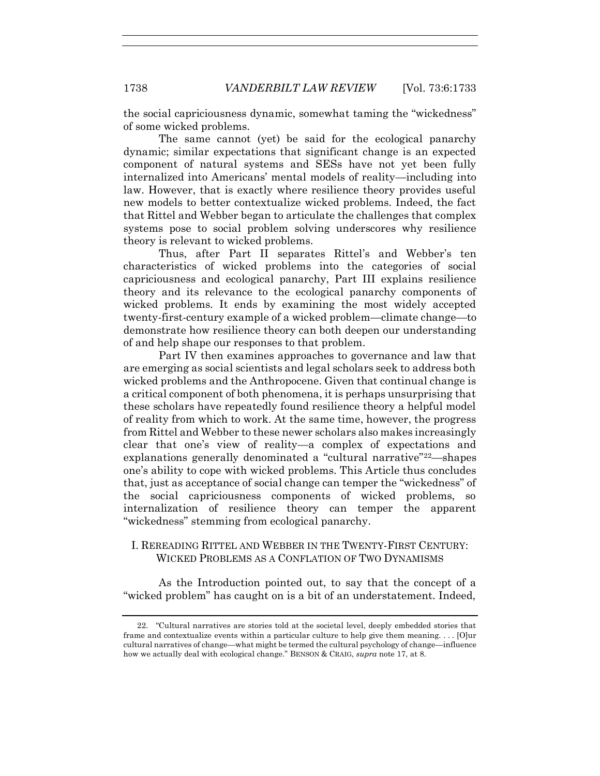the social capriciousness dynamic, somewhat taming the "wickedness" of some wicked problems.

The same cannot (yet) be said for the ecological panarchy dynamic; similar expectations that significant change is an expected component of natural systems and SESs have not yet been fully internalized into Americans' mental models of reality—including into law. However, that is exactly where resilience theory provides useful new models to better contextualize wicked problems. Indeed, the fact that Rittel and Webber began to articulate the challenges that complex systems pose to social problem solving underscores why resilience theory is relevant to wicked problems.

Thus, after Part II separates Rittel's and Webber's ten characteristics of wicked problems into the categories of social capriciousness and ecological panarchy, Part III explains resilience theory and its relevance to the ecological panarchy components of wicked problems. It ends by examining the most widely accepted twenty-first-century example of a wicked problem—climate change—to demonstrate how resilience theory can both deepen our understanding of and help shape our responses to that problem.

Part IV then examines approaches to governance and law that are emerging as social scientists and legal scholars seek to address both wicked problems and the Anthropocene. Given that continual change is a critical component of both phenomena, it is perhaps unsurprising that these scholars have repeatedly found resilience theory a helpful model of reality from which to work. At the same time, however, the progress from Rittel and Webber to these newer scholars also makes increasingly clear that one's view of reality—a complex of expectations and explanations generally denominated a "cultural narrative"22—shapes one's ability to cope with wicked problems. This Article thus concludes that, just as acceptance of social change can temper the "wickedness" of the social capriciousness components of wicked problems, so internalization of resilience theory can temper the apparent "wickedness" stemming from ecological panarchy.

## I. REREADING RITTEL AND WEBBER IN THE TWENTY-FIRST CENTURY: WICKED PROBLEMS AS A CONFLATION OF TWO DYNAMISMS

As the Introduction pointed out, to say that the concept of a "wicked problem" has caught on is a bit of an understatement. Indeed,

<sup>22.</sup> "Cultural narratives are stories told at the societal level, deeply embedded stories that frame and contextualize events within a particular culture to help give them meaning. . . . [O]ur cultural narratives of change—what might be termed the cultural psychology of change—influence how we actually deal with ecological change." BENSON & CRAIG, *supra* note [17,](#page-3-0) at 8.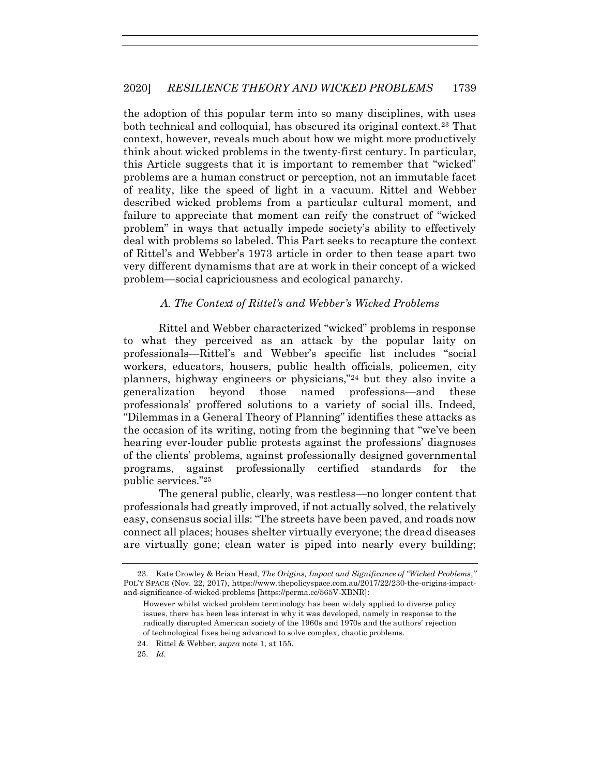<span id="page-6-0"></span>the adoption of this popular term into so many disciplines, with uses both technical and colloquial, has obscured its original context.<sup>23</sup> That context, however, reveals much about how we might more productively think about wicked problems in the twenty-first century. In particular, this Article suggests that it is important to remember that "wicked" problems are a human construct or perception, not an immutable facet of reality, like the speed of light in a vacuum. Rittel and Webber described wicked problems from a particular cultural moment, and failure to appreciate that moment can reify the construct of "wicked problem" in ways that actually impede society's ability to effectively deal with problems so labeled. This Part seeks to recapture the context of Rittel's and Webber's 1973 article in order to then tease apart two very different dynamisms that are at work in their concept of a wicked problem—social capriciousness and ecological panarchy.

## *A. The Context of Rittel's and Webber's Wicked Problems*

Rittel and Webber characterized "wicked" problems in response to what they perceived as an attack by the popular laity on professionals—Rittel's and Webber's specific list includes "social workers, educators, housers, public health officials, policemen, city planners, highway engineers or physicians,"<sup>24</sup> but they also invite a generalization beyond those named professions—and these professionals' proffered solutions to a variety of social ills. Indeed, "Dilemmas in a General Theory of Planning" identifies these attacks as the occasion of its writing, noting from the beginning that "we've been hearing ever-louder public protests against the professions' diagnoses of the clients' problems, against professionally designed governmental programs, against professionally certified standards for the public services."<sup>25</sup>

The general public, clearly, was restless—no longer content that professionals had greatly improved, if not actually solved, the relatively easy, consensus social ills: "The streets have been paved, and roads now connect all places; houses shelter virtually everyone; the dread diseases are virtually gone; clean water is piped into nearly every building;

<sup>23.</sup> Kate Crowley & Brian Head, *The Origins, Impact and Significance of "Wicked Problems*,*"* POL'Y SPACE (Nov. 22, 2017), https://www.thepolicyspace.com.au/2017/22/230-the-origins-impactand-significance-of-wicked-problems [https://perma.cc/565V-XBNR]:

However whilst wicked problem terminology has been widely applied to diverse policy issues, there has been less interest in why it was developed, namely in response to the radically disrupted American society of the 1960s and 1970s and the authors' rejection of technological fixes being advanced to solve complex, chaotic problems.

<sup>24.</sup> Rittel & Webber, *supra* not[e 1,](#page-2-0) at 155.

<sup>25.</sup> *Id.*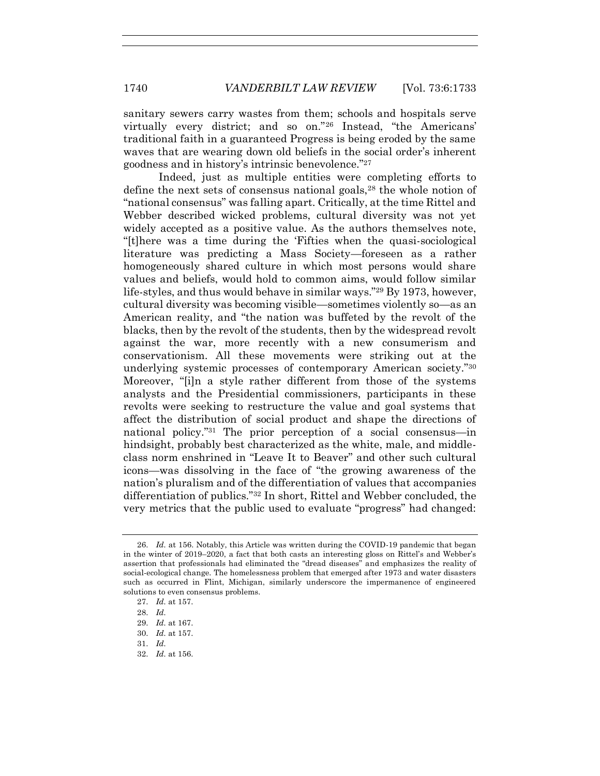sanitary sewers carry wastes from them; schools and hospitals serve virtually every district; and so on."<sup>26</sup> Instead, "the Americans' traditional faith in a guaranteed Progress is being eroded by the same waves that are wearing down old beliefs in the social order's inherent goodness and in history's intrinsic benevolence."<sup>27</sup>

Indeed, just as multiple entities were completing efforts to define the next sets of consensus national goals,<sup>28</sup> the whole notion of "national consensus" was falling apart. Critically, at the time Rittel and Webber described wicked problems, cultural diversity was not yet widely accepted as a positive value. As the authors themselves note, "[t]here was a time during the 'Fifties when the quasi-sociological literature was predicting a Mass Society—foreseen as a rather homogeneously shared culture in which most persons would share values and beliefs, would hold to common aims, would follow similar life-styles, and thus would behave in similar ways."<sup>29</sup> By 1973, however, cultural diversity was becoming visible—sometimes violently so—as an American reality, and "the nation was buffeted by the revolt of the blacks, then by the revolt of the students, then by the widespread revolt against the war, more recently with a new consumerism and conservationism. All these movements were striking out at the underlying systemic processes of contemporary American society."<sup>30</sup> Moreover, "[i]n a style rather different from those of the systems analysts and the Presidential commissioners, participants in these revolts were seeking to restructure the value and goal systems that affect the distribution of social product and shape the directions of national policy."<sup>31</sup> The prior perception of a social consensus—in hindsight, probably best characterized as the white, male, and middleclass norm enshrined in "Leave It to Beaver" and other such cultural icons—was dissolving in the face of "the growing awareness of the nation's pluralism and of the differentiation of values that accompanies differentiation of publics."<sup>32</sup> In short, Rittel and Webber concluded, the very metrics that the public used to evaluate "progress" had changed:

- 31. *Id.*
- 32. *Id.* at 156.

<sup>26.</sup> *Id.* at 156. Notably, this Article was written during the COVID-19 pandemic that began in the winter of 2019–2020, a fact that both casts an interesting gloss on Rittel's and Webber's assertion that professionals had eliminated the "dread diseases" and emphasizes the reality of social-ecological change. The homelessness problem that emerged after 1973 and water disasters such as occurred in Flint, Michigan, similarly underscore the impermanence of engineered solutions to even consensus problems.

<sup>27.</sup> *Id.* at 157.

<sup>28.</sup> *Id.*

<sup>29.</sup> *Id.* at 167.

<sup>30.</sup> *Id.* at 157.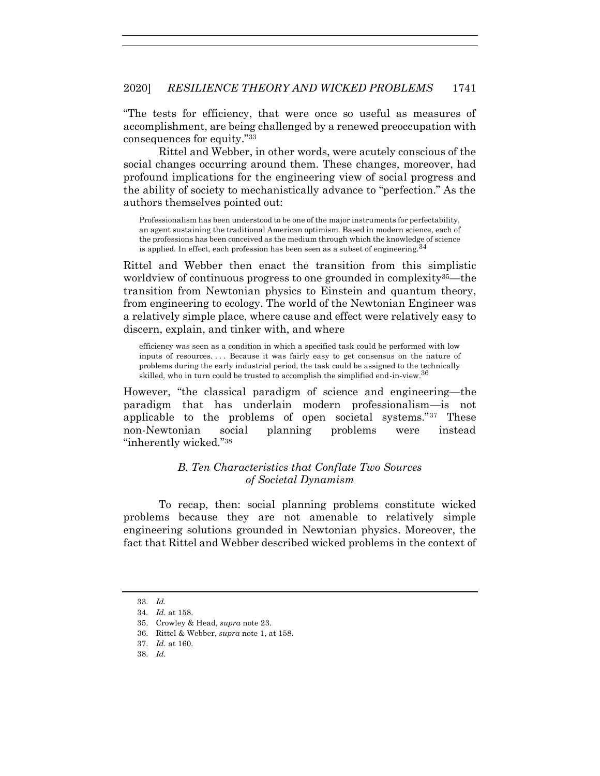"The tests for efficiency, that were once so useful as measures of accomplishment, are being challenged by a renewed preoccupation with consequences for equity."<sup>33</sup>

Rittel and Webber, in other words, were acutely conscious of the social changes occurring around them. These changes, moreover, had profound implications for the engineering view of social progress and the ability of society to mechanistically advance to "perfection." As the authors themselves pointed out:

Professionalism has been understood to be one of the major instruments for perfectability, an agent sustaining the traditional American optimism. Based in modern science, each of the professions has been conceived as the medium through which the knowledge of science is applied. In effect, each profession has been seen as a subset of engineering.  $34$ 

Rittel and Webber then enact the transition from this simplistic worldview of continuous progress to one grounded in complexity<sup>35</sup>—the transition from Newtonian physics to Einstein and quantum theory, from engineering to ecology. The world of the Newtonian Engineer was a relatively simple place, where cause and effect were relatively easy to discern, explain, and tinker with, and where

efficiency was seen as a condition in which a specified task could be performed with low inputs of resources. . . . Because it was fairly easy to get consensus on the nature of problems during the early industrial period, the task could be assigned to the technically skilled, who in turn could be trusted to accomplish the simplified end-in-view.  $36$ 

However, "the classical paradigm of science and engineering—the paradigm that has underlain modern professionalism—is not applicable to the problems of open societal systems."<sup>37</sup> These non-Newtonian social planning problems were instead "inherently wicked."<sup>38</sup>

## *B. Ten Characteristics that Conflate Two Sources of Societal Dynamism*

To recap, then: social planning problems constitute wicked problems because they are not amenable to relatively simple engineering solutions grounded in Newtonian physics. Moreover, the fact that Rittel and Webber described wicked problems in the context of

<sup>33.</sup> *Id.*

<sup>34</sup>*. Id.* at 158.

<sup>35.</sup> Crowley & Head, *supra* note [23.](#page-6-0)

<sup>36.</sup> Rittel & Webber, *supra* not[e 1,](#page-2-0) at 158.

<sup>37.</sup> *Id.* at 160.

<sup>38.</sup> *Id.*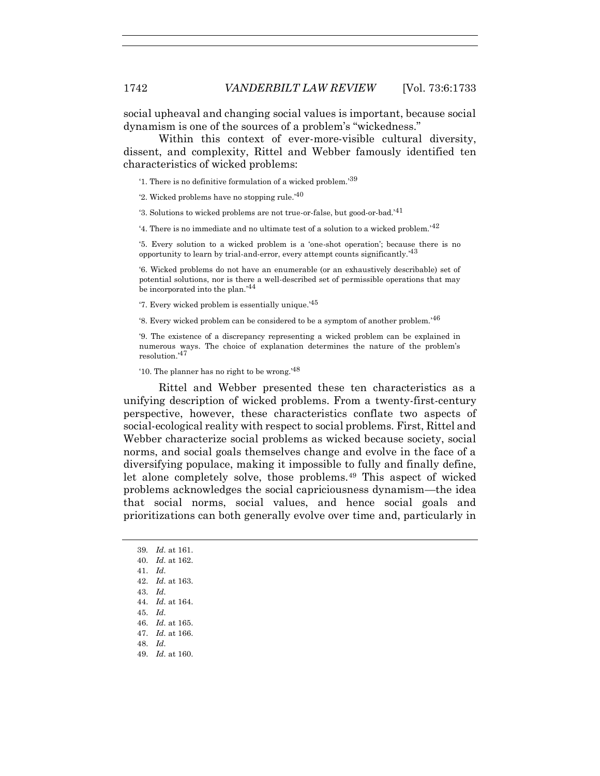social upheaval and changing social values is important, because social dynamism is one of the sources of a problem's "wickedness."

Within this context of ever-more-visible cultural diversity, dissent, and complexity, Rittel and Webber famously identified ten characteristics of wicked problems:

'1. There is no definitive formulation of a wicked problem.' 39

'2. Wicked problems have no stopping rule.<sup>'40</sup>

'3. Solutions to wicked problems are not true-or-false, but good-or-bad.' $41$ 

'4. There is no immediate and no ultimate test of a solution to a wicked problem.<sup>'42</sup>

'5. Every solution to a wicked problem is a 'one-shot operation'; because there is no opportunity to learn by trial-and-error, every attempt counts significantly.<sup>43</sup>

'6. Wicked problems do not have an enumerable (or an exhaustively describable) set of potential solutions, nor is there a well-described set of permissible operations that may be incorporated into the plan.<sup>'44</sup>

'7. Every wicked problem is essentially unique.' 45

'8. Every wicked problem can be considered to be a symptom of another problem.' 46

'9. The existence of a discrepancy representing a wicked problem can be explained in numerous ways. The choice of explanation determines the nature of the problem's resolution.' 47

'10. The planner has no right to be wrong.' $48$ 

Rittel and Webber presented these ten characteristics as a unifying description of wicked problems. From a twenty-first-century perspective, however, these characteristics conflate two aspects of social-ecological reality with respect to social problems. First, Rittel and Webber characterize social problems as wicked because society, social norms, and social goals themselves change and evolve in the face of a diversifying populace, making it impossible to fully and finally define, let alone completely solve, those problems.<sup>49</sup> This aspect of wicked problems acknowledges the social capriciousness dynamism—the idea that social norms, social values, and hence social goals and prioritizations can both generally evolve over time and, particularly in

39*. Id.* at 161. 40. *Id.* at 162. 41. *Id.* 42. *Id.* at 163. 43. *Id.* 44. *Id.* at 164. 45. *Id.* 46. *Id.* at 165. 47. *Id.* at 166. 48. *Id.* 49. *Id.* at 160.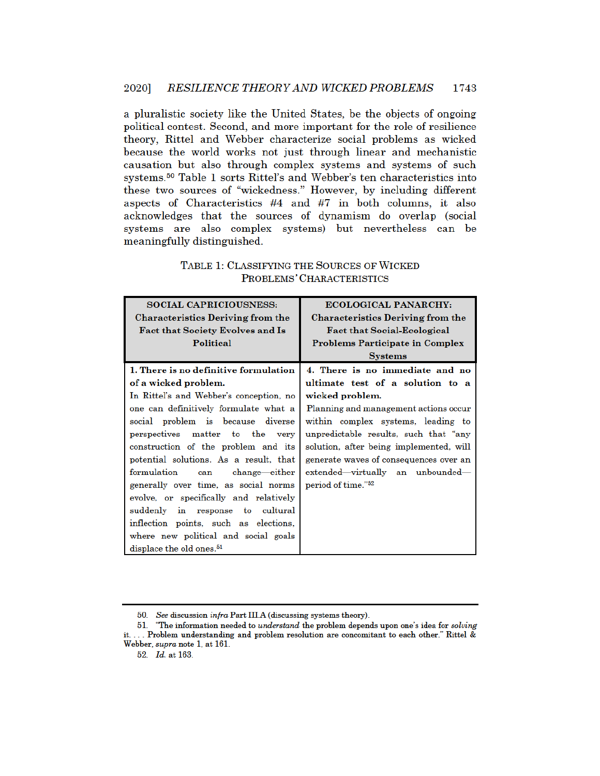a pluralistic society like the United States, be the objects of ongoing political contest. Second, and more important for the role of resilience theory. Rittel and Webber characterize social problems as wicked because the world works not just through linear and mechanistic causation but also through complex systems and systems of such systems.<sup>50</sup> Table 1 sorts Rittel's and Webber's ten characteristics into these two sources of "wickedness." However, by including different aspects of Characteristics #4 and #7 in both columns, it also acknowledges that the sources of dynamism do overlap (social systems are also complex systems) but nevertheless can be meaningfully distinguished.

| <b>SOCIAL CAPRICIOUSNESS:</b>            | <b>ECOLOGICAL PANARCHY:</b>              |
|------------------------------------------|------------------------------------------|
| <b>Characteristics Deriving from the</b> | <b>Characteristics Deriving from the</b> |
| <b>Fact that Society Evolves and Is</b>  | <b>Fact that Social-Ecological</b>       |
| Political                                | <b>Problems Participate in Complex</b>   |
|                                          | <b>Systems</b>                           |
| 1. There is no definitive formulation    | 4. There is no immediate and no          |
| of a wicked problem.                     | ultimate test of a solution to a         |
| In Rittel's and Webber's conception, no  | wicked problem.                          |
| one can definitively formulate what a    | Planning and management actions occur    |
| social problem is because diverse        | within complex systems, leading to       |
| perspectives matter to the very          | unpredictable results, such that "any    |
| construction of the problem and its      | solution, after being implemented, will  |
| potential solutions. As a result, that   | generate waves of consequences over an   |
| formulation<br>change—either<br>can      | extended—virtually an unbounded—         |
| generally over time, as social norms     | period of time." <sup>52</sup>           |
| evolve, or specifically and relatively   |                                          |
| suddenly in response to cultural         |                                          |
| inflection points, such as elections,    |                                          |
| where new political and social goals     |                                          |
| displace the old ones. <sup>51</sup>     |                                          |

## TABLE 1: CLASSIFYING THE SOURCES OF WICKED PROBLEMS' CHARACTERISTICS

<sup>50.</sup> See discussion infra Part III.A (discussing systems theory).

<sup>51. &</sup>quot;The information needed to *understand* the problem depends upon one's idea for *solving* it.... Problem understanding and problem resolution are concomitant to each other." Rittel & Webber, *supra* note 1, at 161.

<sup>52.</sup> Id. at 163.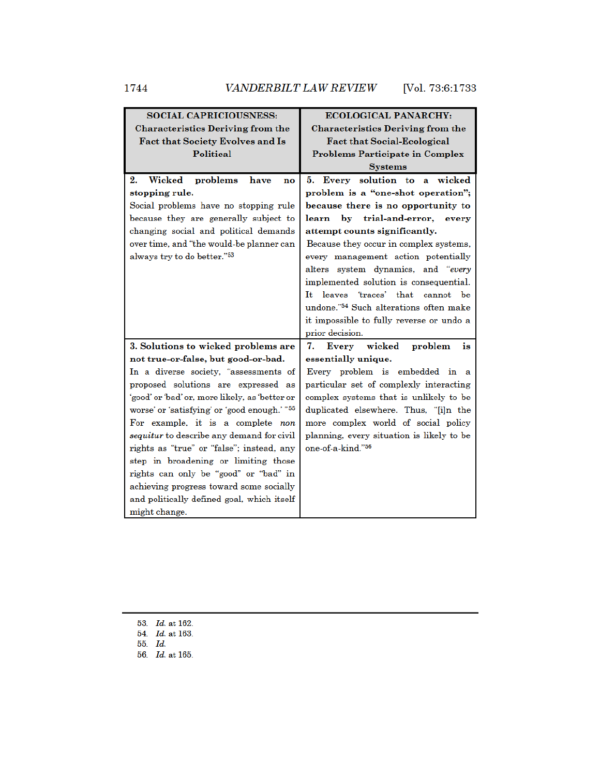| <b>SOCIAL CAPRICIOUSNESS:</b>                           | <b>ECOLOGICAL PANARCHY:</b>                        |  |
|---------------------------------------------------------|----------------------------------------------------|--|
| <b>Characteristics Deriving from the</b>                | <b>Characteristics Deriving from the</b>           |  |
| Fact that Society Evolves and Is                        | <b>Fact that Social-Ecological</b>                 |  |
| <b>Political</b>                                        | <b>Problems Participate in Complex</b>             |  |
|                                                         | <b>Systems</b>                                     |  |
| Wicked<br>2.<br>problems<br>have<br>no                  | 5.<br>Every solution to a wicked                   |  |
| stopping rule.                                          | problem is a "one-shot operation";                 |  |
| Social problems have no stopping rule                   | because there is no opportunity to                 |  |
| because they are generally subject to                   | by trial-and-error, every<br>learn                 |  |
| changing social and political demands                   | attempt counts significantly.                      |  |
| over time, and "the would-be planner can                | Because they occur in complex systems,             |  |
| always try to do better."53                             | every management action potentially                |  |
|                                                         | alters system dynamics, and "every                 |  |
|                                                         | implemented solution is consequential.             |  |
|                                                         | leaves 'traces' that<br>It<br>cannot be            |  |
|                                                         | undone." <sup>54</sup> Such alterations often make |  |
|                                                         | it impossible to fully reverse or undo a           |  |
|                                                         | prior decision.                                    |  |
| 3. Solutions to wicked problems are                     | Every wicked<br>7.<br>problem<br>is                |  |
| not true-or-false, but good-or-bad.                     | essentially unique.                                |  |
| In a diverse society, "assessments of                   | Every problem is embedded in a                     |  |
| proposed solutions are expressed as                     | particular set of complexly interacting            |  |
| 'good' or 'bad' or, more likely, as 'better or          | complex systems that is unlikely to be             |  |
| worse' or 'satisfying' or 'good enough.'" <sup>55</sup> | duplicated elsewhere. Thus, "[i]n the              |  |
| For example, it is a complete non                       | more complex world of social policy                |  |
| <i>sequitur</i> to describe any demand for civil        | planning, every situation is likely to be          |  |
| rights as "true" or "false"; instead, any               | one-of-a-kind."56                                  |  |
| step in broadening or limiting those                    |                                                    |  |
| rights can only be "good" or "bad" in                   |                                                    |  |
| achieving progress toward some socially                 |                                                    |  |
| and politically defined goal, which itself              |                                                    |  |
| might change.                                           |                                                    |  |

<sup>53.</sup> *Id.* at 162.

<sup>54.</sup> *Id.* at 163.

<sup>55.</sup> Id.

<sup>56.</sup> Id. at 165.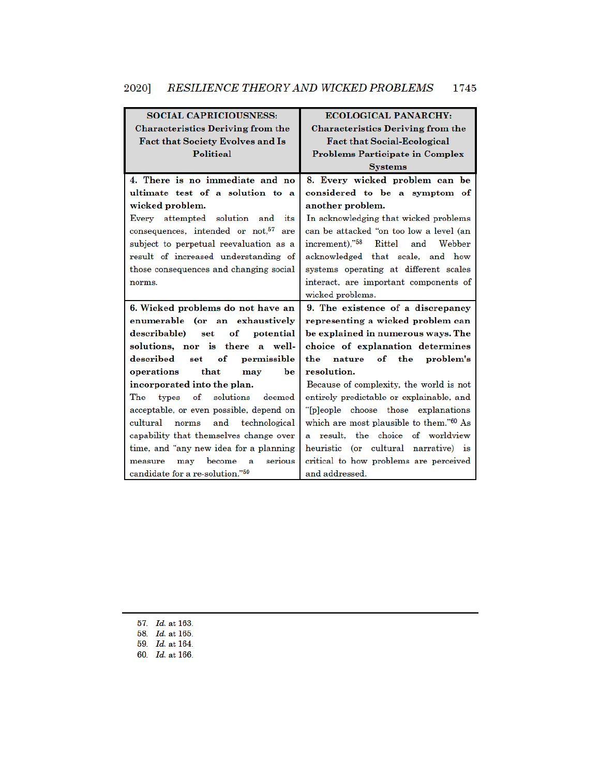# 2020] RESILIENCE THEORY AND WICKED PROBLEMS 1745

| <b>SOCIAL CAPRICIOUSNESS:</b>                    | <b>ECOLOGICAL PANARCHY:</b>                         |
|--------------------------------------------------|-----------------------------------------------------|
| <b>Characteristics Deriving from the</b>         | <b>Characteristics Deriving from the</b>            |
| <b>Fact that Society Evolves and Is</b>          | <b>Fact that Social-Ecological</b>                  |
| Political                                        | <b>Problems Participate in Complex</b>              |
|                                                  | <b>Systems</b>                                      |
| 4. There is no immediate and no                  | 8. Every wicked problem can be                      |
| ultimate test of a solution to a                 | considered to be a symptom of                       |
| wicked problem.                                  | another problem.                                    |
| Every attempted solution<br>and its              | In acknowledging that wicked problems               |
| consequences, intended or not. <sup>57</sup> are | can be attacked "on too low a level (an             |
| subject to perpetual reevaluation as a           | increment)," <sup>58</sup> Rittel and Webber        |
| result of increased understanding of             | acknowledged that scale, and how                    |
| those consequences and changing social           | systems operating at different scales               |
| norms.                                           | interact, are important components of               |
|                                                  | wicked problems.                                    |
| 6. Wicked problems do not have an                | 9. The existence of a discrepancy                   |
| enumerable (or an exhaustively                   | representing a wicked problem can                   |
| describable) set<br>$\bf of$<br>potential        | be explained in numerous ways. The                  |
| solutions, nor is there a well-                  | choice of explanation determines                    |
| described<br>set of<br>permissible               | nature of the<br>problem's<br>the                   |
| that<br>be<br>operations<br>may                  | resolution.                                         |
| incorporated into the plan.                      | Because of complexity, the world is not             |
| The<br>of solutions<br>deemed<br>types           | entirely predictable or explainable, and            |
| acceptable, or even possible, depend on          | "[p]eople choose those explanations                 |
| cultural<br>norms and technological              | which are most plausible to them." <sup>60</sup> As |
| capability that themselves change over           | a result, the choice of worldview                   |
| time, and "any new idea for a planning           | heuristic (or cultural narrative) is                |
| may become<br>serious<br>measure<br>a            | critical to how problems are perceived              |
| candidate for a re-solution."59                  | and addressed.                                      |

57. *Id.* at 163. 58. Id. at 165. 59. Id. at 164. 60. Id. at 166.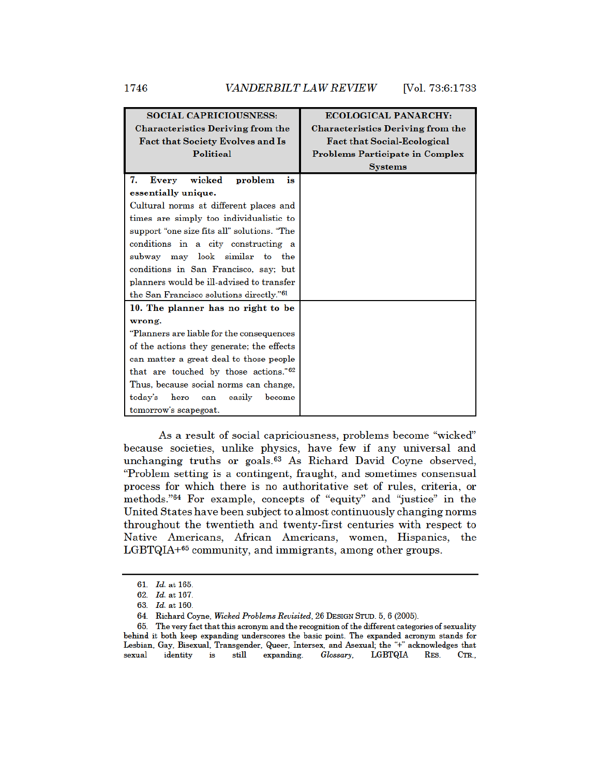| <b>SOCIAL CAPRICIOUSNESS:</b>                        | <b>ECOLOGICAL PANARCHY:</b>              |
|------------------------------------------------------|------------------------------------------|
| <b>Characteristics Deriving from the</b>             | <b>Characteristics Deriving from the</b> |
| Fact that Society Evolves and Is                     | <b>Fact that Social-Ecological</b>       |
| Political                                            | <b>Problems Participate in Complex</b>   |
|                                                      | <b>Systems</b>                           |
| Every wicked<br>7.<br>problem<br>is                  |                                          |
| essentially unique.                                  |                                          |
| Cultural norms at different places and               |                                          |
| times are simply too individualistic to              |                                          |
| support "one size fits all" solutions. "The          |                                          |
| conditions in a city constructing a                  |                                          |
| subway may look similar to the                       |                                          |
| conditions in San Francisco, say; but                |                                          |
| planners would be ill-advised to transfer            |                                          |
| the San Francisco solutions directly." <sup>61</sup> |                                          |
| 10. The planner has no right to be                   |                                          |
| wrong.                                               |                                          |
| "Planners are liable for the consequences            |                                          |
| of the actions they generate; the effects            |                                          |
| can matter a great deal to those people              |                                          |
| that are touched by those actions." <sup>62</sup>    |                                          |
| Thus, because social norms can change,               |                                          |
| hero<br>become<br>today's<br>easily<br>can           |                                          |
| tomorrow's scapegoat.                                |                                          |

As a result of social capriciousness, problems become "wicked" because societies, unlike physics, have few if any universal and unchanging truths or goals.<sup>63</sup> As Richard David Coyne observed, "Problem setting is a contingent, fraught, and sometimes consensual process for which there is no authoritative set of rules, criteria, or methods."<sup>64</sup> For example, concepts of "equity" and "justice" in the United States have been subject to almost continuously changing norms throughout the twentieth and twenty-first centuries with respect to Native Americans, African Americans, women, Hispanics, the LGBTQIA+65 community, and immigrants, among other groups.

<sup>61.</sup> Id. at 165.

<sup>62.</sup> Id. at 167.

<sup>63.</sup> Id. at 160.

<sup>64.</sup> Richard Coyne, Wicked Problems Revisited, 26 DESIGN STUD. 5, 6 (2005).

<sup>65.</sup> The very fact that this acronym and the recognition of the different categories of sexuality behind it both keep expanding underscores the basic point. The expanded acronym stands for Lesbian, Gay, Bisexual, Transgender, Queer, Intersex, and Asexual; the "+" acknowledges that sexual identity is still expanding. Glossary, LGBTQIA RES. CTR.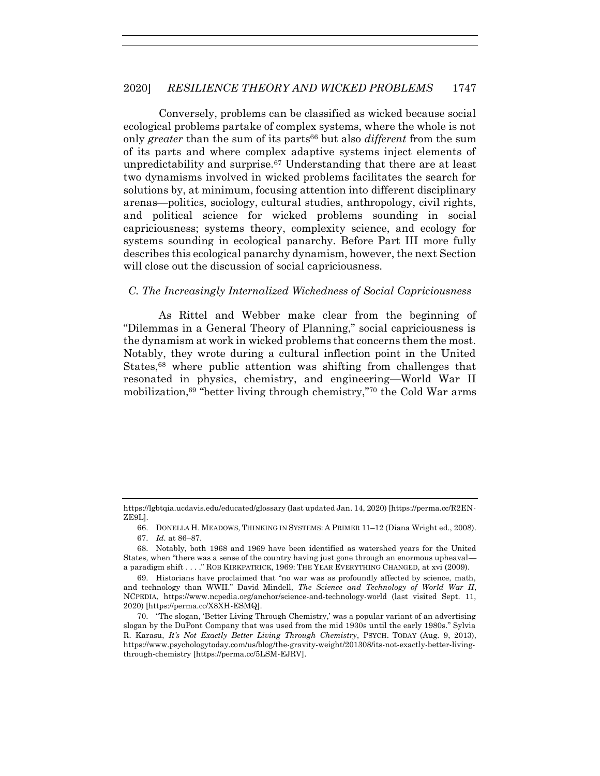Conversely, problems can be classified as wicked because social ecological problems partake of complex systems, where the whole is not only *greater* than the sum of its parts<sup>66</sup> but also *different* from the sum of its parts and where complex adaptive systems inject elements of unpredictability and surprise.<sup> $67$ </sup> Understanding that there are at least two dynamisms involved in wicked problems facilitates the search for solutions by, at minimum, focusing attention into different disciplinary arenas—politics, sociology, cultural studies, anthropology, civil rights, and political science for wicked problems sounding in social capriciousness; systems theory, complexity science, and ecology for systems sounding in ecological panarchy. Before Part III more fully describes this ecological panarchy dynamism, however, the next Section will close out the discussion of social capriciousness.

#### *C. The Increasingly Internalized Wickedness of Social Capriciousness*

As Rittel and Webber make clear from the beginning of "Dilemmas in a General Theory of Planning," social capriciousness is the dynamism at work in wicked problems that concerns them the most. Notably, they wrote during a cultural inflection point in the United States,<sup>68</sup> where public attention was shifting from challenges that resonated in physics, chemistry, and engineering—World War II mobilization,<sup>69</sup> "better living through chemistry,"<sup>70</sup> the Cold War arms

https://lgbtqia.ucdavis.edu/educated/glossary (last updated Jan. 14, 2020) [https://perma.cc/R2EN-ZE9L].

<sup>66.</sup> DONELLA H. MEADOWS, THINKING IN SYSTEMS: A PRIMER 11–12 (Diana Wright ed., 2008).

<sup>67.</sup> *Id.* at 86–87.

<sup>68.</sup> Notably, both 1968 and 1969 have been identified as watershed years for the United States, when "there was a sense of the country having just gone through an enormous upheaval a paradigm shift . . . ." ROB KIRKPATRICK, 1969: THE YEAR EVERYTHING CHANGED, at xvi (2009).

<sup>69.</sup> Historians have proclaimed that "no war was as profoundly affected by science, math, and technology than WWII." David Mindell, *The Science and Technology of World War II*, NCPEDIA, https://www.ncpedia.org/anchor/science-and-technology-world (last visited Sept. 11, 2020) [https://perma.cc/X8XH-ESMQ].

<sup>70.</sup> "The slogan, 'Better Living Through Chemistry,' was a popular variant of an advertising slogan by the DuPont Company that was used from the mid 1930s until the early 1980s." Sylvia R. Karasu, *It's Not Exactly Better Living Through Chemistry*, PSYCH. TODAY (Aug. 9, 2013), https://www.psychologytoday.com/us/blog/the-gravity-weight/201308/its-not-exactly-better-livingthrough-chemistry [https://perma.cc/5LSM-EJRV].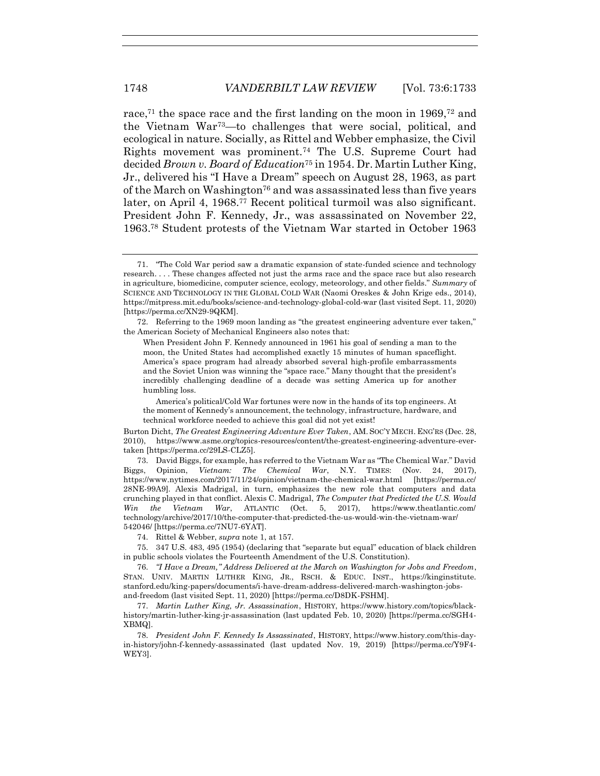race,<sup>71</sup> the space race and the first landing on the moon in  $1969$ ,<sup>72</sup> and the Vietnam War73—to challenges that were social, political, and ecological in nature. Socially, as Rittel and Webber emphasize, the Civil Rights movement was prominent.<sup>74</sup> The U.S. Supreme Court had decided *Brown v. Board of Education*<sup>75</sup> in 1954. Dr. Martin Luther King, Jr., delivered his "I Have a Dream" speech on August 28, 1963, as part of the March on Washington<sup>76</sup> and was assassinated less than five years later, on April 4, 1968.<sup>77</sup> Recent political turmoil was also significant. President John F. Kennedy, Jr., was assassinated on November 22, 1963.<sup>78</sup> Student protests of the Vietnam War started in October 1963

72. Referring to the 1969 moon landing as "the greatest engineering adventure ever taken," the American Society of Mechanical Engineers also notes that:

When President John F. Kennedy announced in 1961 his goal of sending a man to the moon, the United States had accomplished exactly 15 minutes of human spaceflight. America's space program had already absorbed several high-profile embarrassments and the Soviet Union was winning the "space race." Many thought that the president's incredibly challenging deadline of a decade was setting America up for another humbling loss.

America's political/Cold War fortunes were now in the hands of its top engineers. At the moment of Kennedy's announcement, the technology, infrastructure, hardware, and technical workforce needed to achieve this goal did not yet exist!

Burton Dicht, *The Greatest Engineering Adventure Ever Taken*, AM. SOC'Y MECH. ENG'RS (Dec. 28, 2010), https://www.asme.org/topics-resources/content/the-greatest-engineering-adventure-evertaken [https://perma.cc/29LS-CLZ5].

73. David Biggs, for example, has referred to the Vietnam War as "The Chemical War." David Biggs, Opinion, *Vietnam: The Chemical War*, N.Y. TIMES: (Nov. 24, 2017), https://www.nytimes.com/2017/11/24/opinion/vietnam-the-chemical-war.html [https://perma.cc/ 28NE-99A9]. Alexis Madrigal, in turn, emphasizes the new role that computers and data crunching played in that conflict. Alexis C. Madrigal, *The Computer that Predicted the U.S. Would Win the Vietnam War*, ATLANTIC (Oct. 5, 2017), https://www.theatlantic.com/ technology/archive/2017/10/the-computer-that-predicted-the-us-would-win-the-vietnam-war/ 542046/ [https://perma.cc/7NU7-6YAT].

74. Rittel & Webber, *supra* not[e 1,](#page-2-0) at 157.

75. 347 U.S. 483, 495 (1954) (declaring that "separate but equal" education of black children in public schools violates the Fourteenth Amendment of the U.S. Constitution).

76. *"I Have a Dream," Address Delivered at the March on Washington for Jobs and Freedom*, STAN. UNIV. MARTIN LUTHER KING, JR., RSCH. & EDUC. INST., https://kinginstitute. stanford.edu/king-papers/documents/i-have-dream-address-delivered-march-washington-jobsand-freedom (last visited Sept. 11, 2020) [https://perma.cc/D8DK-FSHM].

77. *Martin Luther King, Jr. Assassination*, HISTORY, https://www.history.com/topics/blackhistory/martin-luther-king-jr-assassination (last updated Feb. 10, 2020) [https://perma.cc/SGH4- XBMQ].

78. *President John F. Kennedy Is Assassinated*, HISTORY, https://www.history.com/this-dayin-history/john-f-kennedy-assassinated (last updated Nov. 19, 2019) [https://perma.cc/Y9F4- WEY3].

<sup>71.</sup> "The Cold War period saw a dramatic expansion of state-funded science and technology research. . . . These changes affected not just the arms race and the space race but also research in agriculture, biomedicine, computer science, ecology, meteorology, and other fields." *Summary* of SCIENCE AND TECHNOLOGY IN THE GLOBAL COLD WAR (Naomi Oreskes & John Krige eds., 2014), https://mitpress.mit.edu/books/science-and-technology-global-cold-war (last visited Sept. 11, 2020) [https://perma.cc/XN29-9QKM].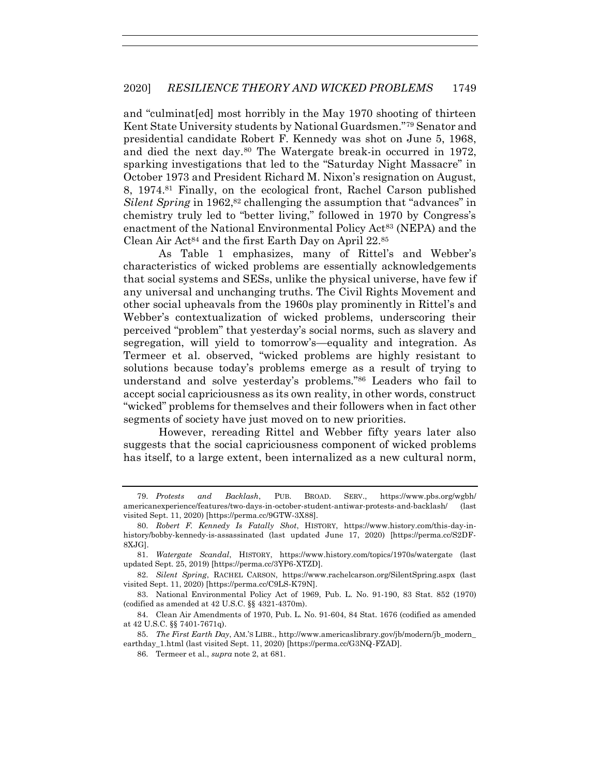and "culminat[ed] most horribly in the May 1970 shooting of thirteen Kent State University students by National Guardsmen."<sup>79</sup> Senator and presidential candidate Robert F. Kennedy was shot on June 5, 1968, and died the next day.<sup>80</sup> The Watergate break-in occurred in 1972, sparking investigations that led to the "Saturday Night Massacre" in October 1973 and President Richard M. Nixon's resignation on August, 8, 1974.<sup>81</sup> Finally, on the ecological front, Rachel Carson published *Silent Spring* in 1962,<sup>82</sup> challenging the assumption that "advances" in chemistry truly led to "better living," followed in 1970 by Congress's enactment of the National Environmental Policy Act<sup>83</sup> (NEPA) and the Clean Air Act<sup>84</sup> and the first Earth Day on April  $22.85$ 

As Table 1 emphasizes, many of Rittel's and Webber's characteristics of wicked problems are essentially acknowledgements that social systems and SESs, unlike the physical universe, have few if any universal and unchanging truths. The Civil Rights Movement and other social upheavals from the 1960s play prominently in Rittel's and Webber's contextualization of wicked problems, underscoring their perceived "problem" that yesterday's social norms, such as slavery and segregation, will yield to tomorrow's—equality and integration. As Termeer et al. observed, "wicked problems are highly resistant to solutions because today's problems emerge as a result of trying to understand and solve yesterday's problems."<sup>86</sup> Leaders who fail to accept social capriciousness as its own reality, in other words, construct "wicked" problems for themselves and their followers when in fact other segments of society have just moved on to new priorities.

However, rereading Rittel and Webber fifty years later also suggests that the social capriciousness component of wicked problems has itself, to a large extent, been internalized as a new cultural norm,

<sup>79.</sup> *Protests and Backlash*, PUB. BROAD. SERV., https://www.pbs.org/wgbh/ americanexperience/features/two-days-in-october-student-antiwar-protests-and-backlash/ (last visited Sept. 11, 2020) [https://perma.cc/9GTW-3X88].

<sup>80.</sup> *Robert F. Kennedy Is Fatally Shot*, HISTORY, https://www.history.com/this-day-inhistory/bobby-kennedy-is-assassinated (last updated June 17, 2020) [https://perma.cc/S2DF-8XJG].

<sup>81.</sup> *Watergate Scandal*, HISTORY, https://www.history.com/topics/1970s/watergate (last updated Sept. 25, 2019) [https://perma.cc/3YP6-XTZD].

<sup>82.</sup> *Silent Spring*, RACHEL CARSON, https://www.rachelcarson.org/SilentSpring.aspx (last visited Sept. 11, 2020) [https://perma.cc/C9LS-K79N].

<sup>83.</sup> National Environmental Policy Act of 1969, Pub. L. No. 91-190, 83 Stat. 852 (1970) (codified as amended at 42 U.S.C. §§ 4321-4370m).

<sup>84.</sup> Clean Air Amendments of 1970, Pub. L. No. 91-604, 84 Stat. 1676 (codified as amended at 42 U.S.C. §§ 7401-7671q).

<sup>85.</sup> *The First Earth Day*, AM.'S LIBR., http://www.americaslibrary.gov/jb/modern/jb\_modern\_ earthday\_1.html (last visited Sept. 11, 2020) [https://perma.cc/G3NQ-FZAD].

<sup>86.</sup> Termeer et al., *supra* not[e 2,](#page-2-1) at 681.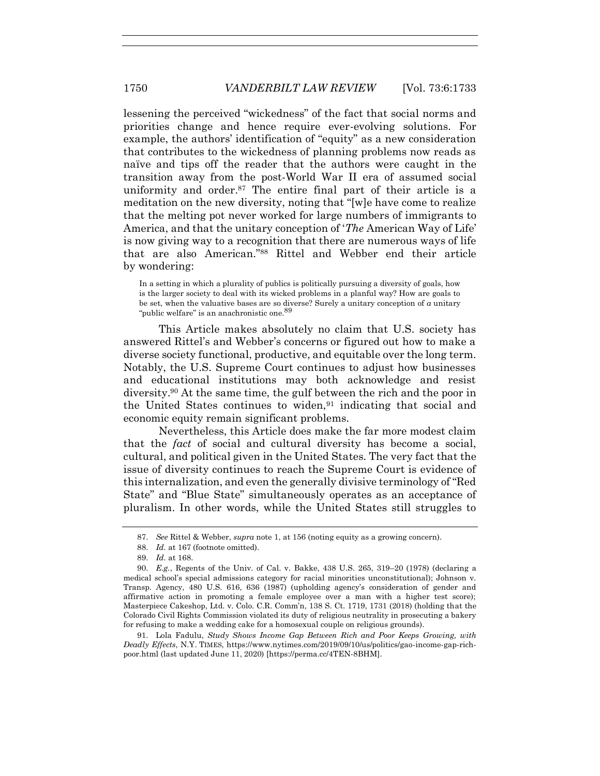lessening the perceived "wickedness" of the fact that social norms and priorities change and hence require ever-evolving solutions. For example, the authors' identification of "equity" as a new consideration that contributes to the wickedness of planning problems now reads as naïve and tips off the reader that the authors were caught in the transition away from the post-World War II era of assumed social uniformity and order.<sup>87</sup> The entire final part of their article is a meditation on the new diversity, noting that "[w]e have come to realize that the melting pot never worked for large numbers of immigrants to America, and that the unitary conception of '*The* American Way of Life' is now giving way to a recognition that there are numerous ways of life that are also American."<sup>88</sup> Rittel and Webber end their article by wondering:

In a setting in which a plurality of publics is politically pursuing a diversity of goals, how is the larger society to deal with its wicked problems in a planful way? How are goals to be set, when the valuative bases are so diverse? Surely a unitary conception of *a* unitary "public welfare" is an anachronistic one.<sup>89</sup>

This Article makes absolutely no claim that U.S. society has answered Rittel's and Webber's concerns or figured out how to make a diverse society functional, productive, and equitable over the long term. Notably, the U.S. Supreme Court continues to adjust how businesses and educational institutions may both acknowledge and resist diversity.<sup>90</sup> At the same time, the gulf between the rich and the poor in the United States continues to widen,  $91$  indicating that social and economic equity remain significant problems.

Nevertheless, this Article does make the far more modest claim that the *fact* of social and cultural diversity has become a social, cultural, and political given in the United States. The very fact that the issue of diversity continues to reach the Supreme Court is evidence of this internalization, and even the generally divisive terminology of "Red State" and "Blue State" simultaneously operates as an acceptance of pluralism. In other words, while the United States still struggles to

<sup>87.</sup> *See* Rittel & Webber, *supra* note [1,](#page-2-0) at 156 (noting equity as a growing concern).

<sup>88.</sup> *Id.* at 167 (footnote omitted).

<sup>89.</sup> *Id.* at 168.

<sup>90.</sup> *E.g.*, Regents of the Univ. of Cal. v. Bakke, 438 U.S. 265, 319–20 (1978) (declaring a medical school's special admissions category for racial minorities unconstitutional); Johnson v. Transp. Agency, 480 U.S. 616, 636 (1987) (upholding agency's consideration of gender and affirmative action in promoting a female employee over a man with a higher test score); Masterpiece Cakeshop, Ltd. v. Colo. C.R. Comm'n, 138 S. Ct. 1719, 1731 (2018) (holding that the Colorado Civil Rights Commission violated its duty of religious neutrality in prosecuting a bakery for refusing to make a wedding cake for a homosexual couple on religious grounds).

<sup>91.</sup> Lola Fadulu, *Study Shows Income Gap Between Rich and Poor Keeps Growing, with Deadly Effects*, N.Y. TIMES, https://www.nytimes.com/2019/09/10/us/politics/gao-income-gap-richpoor.html (last updated June 11, 2020) [https://perma.cc/4TEN-8BHM].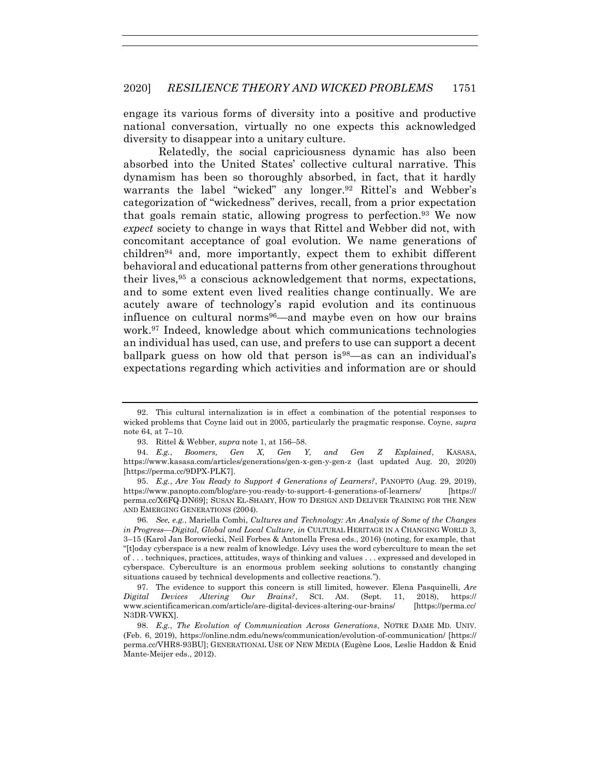engage its various forms of diversity into a positive and productive national conversation, virtually no one expects this acknowledged diversity to disappear into a unitary culture.

Relatedly, the social capriciousness dynamic has also been absorbed into the United States' collective cultural narrative. This dynamism has been so thoroughly absorbed, in fact, that it hardly warrants the label "wicked" any longer.<sup>92</sup> Rittel's and Webber's categorization of "wickedness" derives, recall, from a prior expectation that goals remain static, allowing progress to perfection.<sup>93</sup> We now *expect* society to change in ways that Rittel and Webber did not, with concomitant acceptance of goal evolution. We name generations of children<sup>94</sup> and, more importantly, expect them to exhibit different behavioral and educational patterns from other generations throughout their lives,<sup>95</sup> a conscious acknowledgement that norms, expectations, and to some extent even lived realities change continually. We are acutely aware of technology's rapid evolution and its continuous influence on cultural norms96—and maybe even on how our brains work.<sup>97</sup> Indeed, knowledge about which communications technologies an individual has used, can use, and prefers to use can support a decent ballpark guess on how old that person is <sup>98</sup>—as can an individual's expectations regarding which activities and information are or should

<sup>92.</sup> This cultural internalization is in effect a combination of the potential responses to wicked problems that Coyne laid out in 2005, particularly the pragmatic response. Coyne, *supra* not[e 64,](#page-13-0) at 7–10.

<sup>93.</sup> Rittel & Webber, *supra* not[e 1,](#page-2-0) at 156–58.

<sup>94.</sup> *E.g.*, *Boomers, Gen X, Gen Y, and Gen Z Explained*, KASASA, https://www.kasasa.com/articles/generations/gen-x-gen-y-gen-z (last updated Aug. 20, 2020) [https://perma.cc/9DPX-PLK7].

<sup>95.</sup> *E.g.*, *Are You Ready to Support 4 Generations of Learners?*, PANOPTO (Aug. 29, 2019), https://www.panopto.com/blog/are-you-ready-to-support-4-generations-of-learners/ [https:// perma.cc/X6FQ-DN69]; SUSAN EL-SHAMY, HOW TO DESIGN AND DELIVER TRAINING FOR THE NEW AND EMERGING GENERATIONS (2004).

<sup>96.</sup> *See, e.g.*, Mariella Combi, *Cultures and Technology: An Analysis of Some of the Changes in Progress—Digital, Global and Local Culture*, *in* CULTURAL HERITAGE IN A CHANGING WORLD 3, 3–15 (Karol Jan Borowiecki, Neil Forbes & Antonella Fresa eds., 2016) (noting, for example, that "[t]oday cyberspace is a new realm of knowledge. Lévy uses the word cyberculture to mean the set of . . . techniques, practices, attitudes, ways of thinking and values . . . expressed and developed in cyberspace. Cyberculture is an enormous problem seeking solutions to constantly changing situations caused by technical developments and collective reactions.").

<sup>97.</sup> The evidence to support this concern is still limited, however. Elena Pasquinelli, *Are Digital Devices Altering Our Brains?*, SCI. AM. (Sept. 11, 2018), https:// www.scientificamerican.com/article/are-digital-devices-altering-our-brains/ [https://perma.cc/ N3DR-VWKX].

<sup>98.</sup> *E.g.*, *The Evolution of Communication Across Generations*, NOTRE DAME MD. UNIV. (Feb. 6, 2019), https://online.ndm.edu/news/communication/evolution-of-communication/ [https:// perma.cc/VHR8-93BU]; GENERATIONAL USE OF NEW MEDIA (Eugène Loos, Leslie Haddon & Enid Mante-Meijer eds., 2012).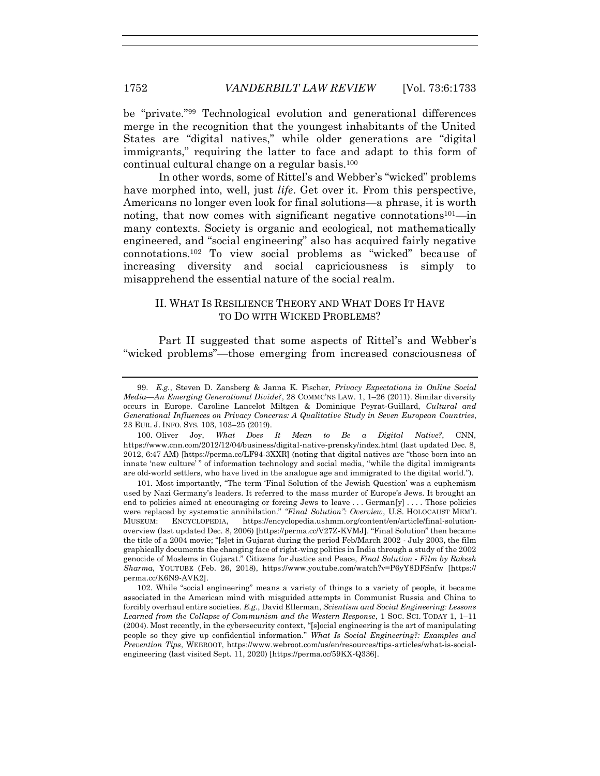be "private."<sup>99</sup> Technological evolution and generational differences merge in the recognition that the youngest inhabitants of the United States are "digital natives," while older generations are "digital immigrants," requiring the latter to face and adapt to this form of continual cultural change on a regular basis.<sup>100</sup>

In other words, some of Rittel's and Webber's "wicked" problems have morphed into, well, just *life*. Get over it. From this perspective, Americans no longer even look for final solutions—a phrase, it is worth noting, that now comes with significant negative connotations<sup>101</sup>—in many contexts. Society is organic and ecological, not mathematically engineered, and "social engineering" also has acquired fairly negative connotations.<sup>102</sup> To view social problems as "wicked" because of increasing diversity and social capriciousness is simply to misapprehend the essential nature of the social realm.

#### II. WHAT IS RESILIENCE THEORY AND WHAT DOES IT HAVE TO DO WITH WICKED PROBLEMS?

Part II suggested that some aspects of Rittel's and Webber's "wicked problems"—those emerging from increased consciousness of

100. Oliver Joy, *What Does It Mean to Be a Digital Native?*, CNN, https://www.cnn.com/2012/12/04/business/digital-native-prensky/index.html (last updated Dec. 8, 2012, 6:47 AM) [https://perma.cc/LF94-3XXR] (noting that digital natives are "those born into an innate 'new culture' " of information technology and social media, "while the digital immigrants are old-world settlers, who have lived in the analogue age and immigrated to the digital world.").

101. Most importantly, "The term 'Final Solution of the Jewish Question' was a euphemism used by Nazi Germany's leaders. It referred to the mass murder of Europe's Jews. It brought an end to policies aimed at encouraging or forcing Jews to leave . . . German[y] . . . . Those policies were replaced by systematic annihilation." *"Final Solution": Overview*, U.S. HOLOCAUST MEM'L MUSEUM: ENCYCLOPEDIA, https://encyclopedia.ushmm.org/content/en/article/final-solutionoverview (last updated Dec. 8, 2006) [https://perma.cc/V27Z-KVMJ]. "Final Solution" then became the title of a 2004 movie; "[s]et in Gujarat during the period Feb/March 2002 - July 2003, the film graphically documents the changing face of right-wing politics in India through a study of the 2002 genocide of Moslems in Gujarat." Citizens for Justice and Peace, *Final Solution - Film by Rakesh Sharma*, YOUTUBE (Feb. 26, 2018), https://www.youtube.com/watch?v=P6yY8DFSnfw [https:// perma.cc/K6N9-AVK2].

102. While "social engineering" means a variety of things to a variety of people, it became associated in the American mind with misguided attempts in Communist Russia and China to forcibly overhaul entire societies. *E.g.*, David Ellerman, *Scientism and Social Engineering: Lessons Learned from the Collapse of Communism and the Western Response*, 1 SOC. SCI. TODAY 1, 1–11 (2004). Most recently, in the cybersecurity context, "[s]ocial engineering is the art of manipulating people so they give up confidential information." *What Is Social Engineering?: Examples and Prevention Tips*, WEBROOT, https://www.webroot.com/us/en/resources/tips-articles/what-is-socialengineering (last visited Sept. 11, 2020) [https://perma.cc/59KX-Q336].

<sup>99.</sup> *E.g.*, Steven D. Zansberg & Janna K. Fischer, *Privacy Expectations in Online Social Media—An Emerging Generational Divide?*, 28 COMMC'NS LAW. 1, 1–26 (2011). Similar diversity occurs in Europe. Caroline Lancelot Miltgen & Dominique Peyrat-Guillard, *Cultural and Generational Influences on Privacy Concerns: A Qualitative Study in Seven European Countries*, 23 EUR. J. INFO. SYS. 103, 103–25 (2019).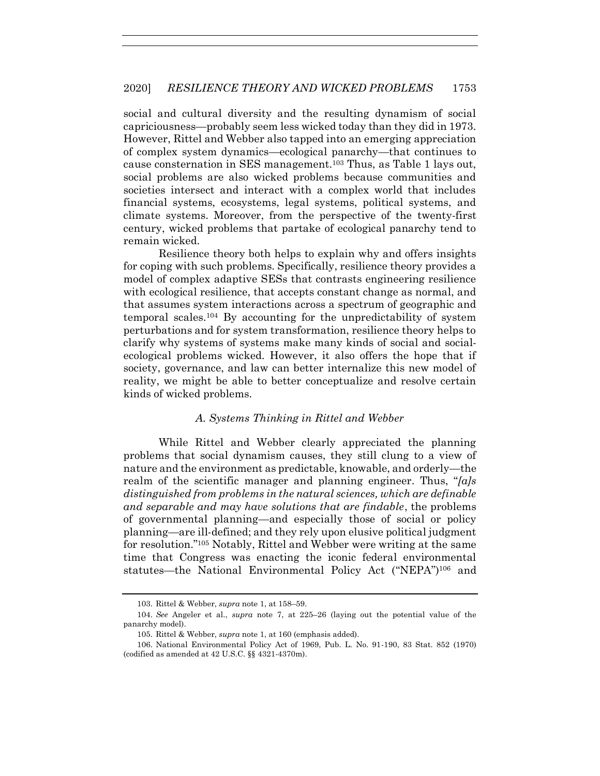social and cultural diversity and the resulting dynamism of social capriciousness—probably seem less wicked today than they did in 1973. However, Rittel and Webber also tapped into an emerging appreciation of complex system dynamics—ecological panarchy—that continues to cause consternation in SES management.<sup>103</sup> Thus, as Table 1 lays out, social problems are also wicked problems because communities and societies intersect and interact with a complex world that includes financial systems, ecosystems, legal systems, political systems, and climate systems. Moreover, from the perspective of the twenty-first century, wicked problems that partake of ecological panarchy tend to remain wicked.

Resilience theory both helps to explain why and offers insights for coping with such problems. Specifically, resilience theory provides a model of complex adaptive SESs that contrasts engineering resilience with ecological resilience, that accepts constant change as normal, and that assumes system interactions across a spectrum of geographic and temporal scales.<sup>104</sup> By accounting for the unpredictability of system perturbations and for system transformation, resilience theory helps to clarify why systems of systems make many kinds of social and socialecological problems wicked. However, it also offers the hope that if society, governance, and law can better internalize this new model of reality, we might be able to better conceptualize and resolve certain kinds of wicked problems.

#### *A. Systems Thinking in Rittel and Webber*

While Rittel and Webber clearly appreciated the planning problems that social dynamism causes, they still clung to a view of nature and the environment as predictable, knowable, and orderly—the realm of the scientific manager and planning engineer. Thus, "*[a]s distinguished from problems in the natural sciences, which are definable and separable and may have solutions that are findable*, the problems of governmental planning—and especially those of social or policy planning—are ill-defined; and they rely upon elusive political judgment for resolution."<sup>105</sup> Notably, Rittel and Webber were writing at the same time that Congress was enacting the iconic federal environmental statutes—the National Environmental Policy Act ("NEPA") <sup>106</sup> and

<sup>103.</sup> Rittel & Webber, *supra* not[e 1,](#page-2-0) at 158–59.

<sup>104.</sup> *See* Angeler et al., *supra* note [7,](#page-2-2) at 225–26 (laying out the potential value of the panarchy model).

<sup>105.</sup> Rittel & Webber, *supra* not[e 1,](#page-2-0) at 160 (emphasis added).

<sup>106.</sup> National Environmental Policy Act of 1969, Pub. L. No. 91-190, 83 Stat. 852 (1970) (codified as amended at 42 U.S.C. §§ 4321-4370m).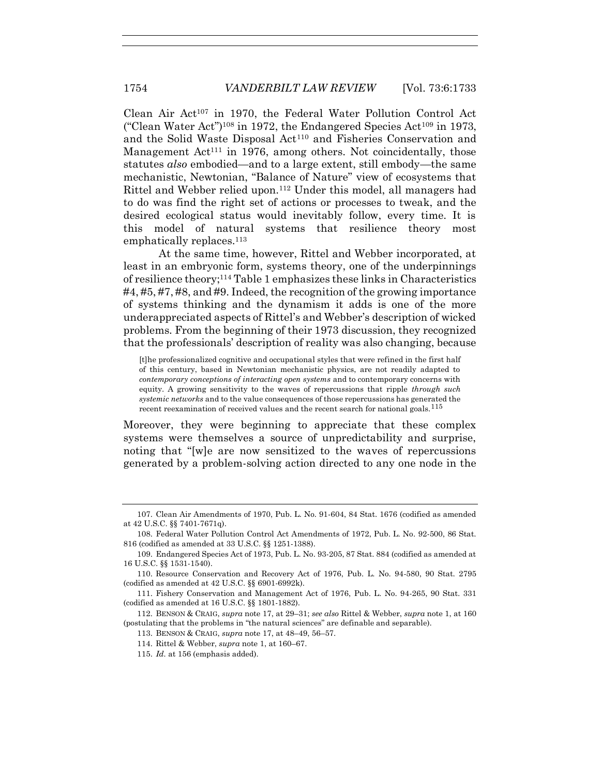Clean Air Act<sup>107</sup> in 1970, the Federal Water Pollution Control Act ("Clean Water Act")<sup>108</sup> in 1972, the Endangered Species Act<sup>109</sup> in 1973, and the Solid Waste Disposal Act<sup>110</sup> and Fisheries Conservation and Management  $Act^{111}$  in 1976, among others. Not coincidentally, those statutes *also* embodied—and to a large extent, still embody—the same mechanistic, Newtonian, "Balance of Nature" view of ecosystems that Rittel and Webber relied upon.<sup>112</sup> Under this model, all managers had to do was find the right set of actions or processes to tweak, and the desired ecological status would inevitably follow, every time. It is this model of natural systems that resilience theory most emphatically replaces.<sup>113</sup>

At the same time, however, Rittel and Webber incorporated, at least in an embryonic form, systems theory, one of the underpinnings of resilience theory;<sup>114</sup> Table 1 emphasizes these links in Characteristics #4, #5, #7, #8, and #9. Indeed, the recognition of the growing importance of systems thinking and the dynamism it adds is one of the more underappreciated aspects of Rittel's and Webber's description of wicked problems. From the beginning of their 1973 discussion, they recognized that the professionals' description of reality was also changing, because

[t]he professionalized cognitive and occupational styles that were refined in the first half of this century, based in Newtonian mechanistic physics, are not readily adapted to *contemporary conceptions of interacting open systems* and to contemporary concerns with equity. A growing sensitivity to the waves of repercussions that ripple *through such systemic networks* and to the value consequences of those repercussions has generated the recent reexamination of received values and the recent search for national goals.<sup>115</sup>

Moreover, they were beginning to appreciate that these complex systems were themselves a source of unpredictability and surprise, noting that "[w]e are now sensitized to the waves of repercussions generated by a problem-solving action directed to any one node in the

<sup>107.</sup> Clean Air Amendments of 1970, Pub. L. No. 91-604, 84 Stat. 1676 (codified as amended at 42 U.S.C. §§ 7401-7671q).

<sup>108.</sup> Federal Water Pollution Control Act Amendments of 1972, Pub. L. No. 92-500, 86 Stat. 816 (codified as amended at 33 U.S.C. §§ 1251-1388).

<sup>109.</sup> Endangered Species Act of 1973, Pub. L. No. 93-205, 87 Stat. 884 (codified as amended at 16 U.S.C. §§ 1531-1540).

<sup>110.</sup> Resource Conservation and Recovery Act of 1976, Pub. L. No. 94-580, 90 Stat. 2795 (codified as amended at 42 U.S.C. §§ 6901-6992k).

<sup>111.</sup> Fishery Conservation and Management Act of 1976, Pub. L. No. 94-265, 90 Stat. 331 (codified as amended at 16 U.S.C. §§ 1801-1882).

<sup>112.</sup> BENSON & CRAIG, *supra* note [17,](#page-3-0) at 29–31; *see also* Rittel & Webber, *supra* note [1,](#page-2-0) at 160 (postulating that the problems in "the natural sciences" are definable and separable).

<sup>113.</sup> BENSON & CRAIG, *supra* note [17,](#page-3-0) at 48–49, 56–57.

<sup>114.</sup> Rittel & Webber, *supra* not[e 1,](#page-2-0) at 160–67.

<sup>115.</sup> *Id.* at 156 (emphasis added).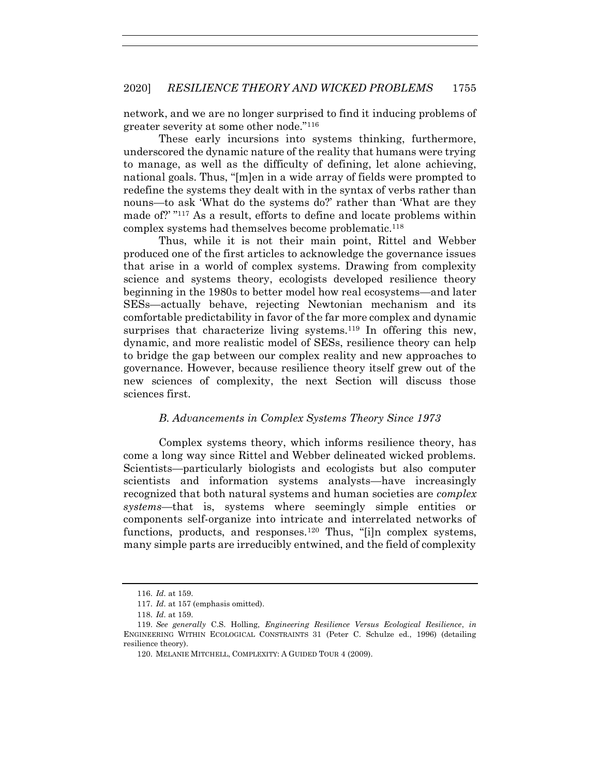network, and we are no longer surprised to find it inducing problems of greater severity at some other node."<sup>116</sup>

These early incursions into systems thinking, furthermore, underscored the dynamic nature of the reality that humans were trying to manage, as well as the difficulty of defining, let alone achieving, national goals. Thus, "[m]en in a wide array of fields were prompted to redefine the systems they dealt with in the syntax of verbs rather than nouns—to ask 'What do the systems do?' rather than 'What are they made of?' " <sup>117</sup> As a result, efforts to define and locate problems within complex systems had themselves become problematic.<sup>118</sup>

Thus, while it is not their main point, Rittel and Webber produced one of the first articles to acknowledge the governance issues that arise in a world of complex systems. Drawing from complexity science and systems theory, ecologists developed resilience theory beginning in the 1980s to better model how real ecosystems—and later SESs—actually behave, rejecting Newtonian mechanism and its comfortable predictability in favor of the far more complex and dynamic surprises that characterize living systems.<sup>119</sup> In offering this new, dynamic, and more realistic model of SESs, resilience theory can help to bridge the gap between our complex reality and new approaches to governance. However, because resilience theory itself grew out of the new sciences of complexity, the next Section will discuss those sciences first.

#### <span id="page-22-1"></span>*B. Advancements in Complex Systems Theory Since 1973*

Complex systems theory, which informs resilience theory, has come a long way since Rittel and Webber delineated wicked problems. Scientists—particularly biologists and ecologists but also computer scientists and information systems analysts—have increasingly recognized that both natural systems and human societies are *complex systems*—that is, systems where seemingly simple entities or components self-organize into intricate and interrelated networks of functions, products, and responses.<sup>120</sup> Thus, "[i]n complex systems, many simple parts are irreducibly entwined, and the field of complexity

<span id="page-22-0"></span><sup>116.</sup> *Id.* at 159.

<sup>117.</sup> *Id.* at 157 (emphasis omitted).

<sup>118.</sup> *Id.* at 159.

<sup>119.</sup> *See generally* C.S. Holling, *Engineering Resilience Versus Ecological Resilience*, *in* ENGINEERING WITHIN ECOLOGICAL CONSTRAINTS 31 (Peter C. Schulze ed., 1996) (detailing resilience theory).

<sup>120.</sup> MELANIE MITCHELL, COMPLEXITY: A GUIDED TOUR 4 (2009).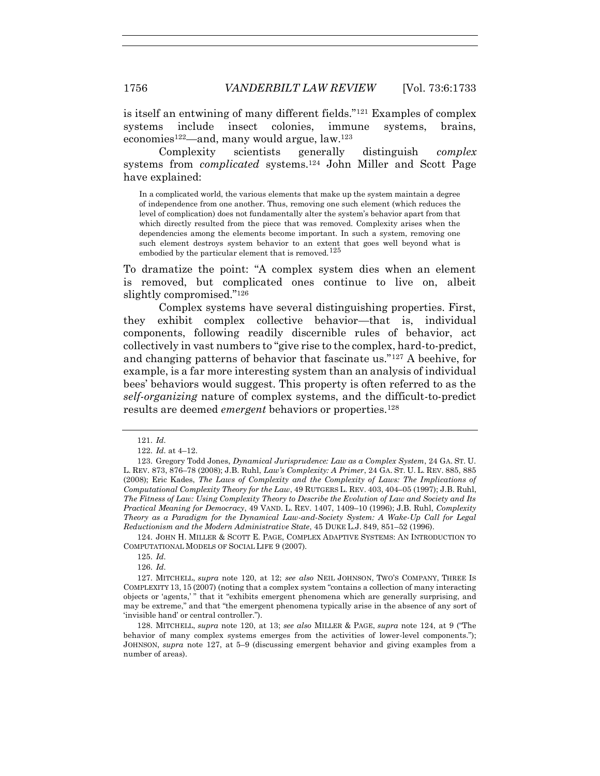is itself an entwining of many different fields."<sup>121</sup> Examples of complex systems include insect colonies, immune systems, brains, economies<sup>122</sup>—and, many would argue,  $law$ <sup>123</sup>

Complexity scientists generally distinguish *complex* systems from *complicated* systems.<sup>124</sup> John Miller and Scott Page have explained:

<span id="page-23-0"></span>In a complicated world, the various elements that make up the system maintain a degree of independence from one another. Thus, removing one such element (which reduces the level of complication) does not fundamentally alter the system's behavior apart from that which directly resulted from the piece that was removed. Complexity arises when the dependencies among the elements become important. In such a system, removing one such element destroys system behavior to an extent that goes well beyond what is embodied by the particular element that is removed.<sup>125</sup>

To dramatize the point: "A complex system dies when an element is removed, but complicated ones continue to live on, albeit slightly compromised."<sup>126</sup>

Complex systems have several distinguishing properties. First, they exhibit complex collective behavior—that is, individual components, following readily discernible rules of behavior, act collectively in vast numbers to "give rise to the complex, hard-to-predict, and changing patterns of behavior that fascinate us."<sup>127</sup> A beehive, for example, is a far more interesting system than an analysis of individual bees' behaviors would suggest. This property is often referred to as the *self-organizing* nature of complex systems, and the difficult-to-predict results are deemed *emergent* behaviors or properties.<sup>128</sup>

124. JOHN H. MILLER & SCOTT E. PAGE, COMPLEX ADAPTIVE SYSTEMS: AN INTRODUCTION TO COMPUTATIONAL MODELS OF SOCIAL LIFE 9 (2007).

<span id="page-23-1"></span><sup>121.</sup> *Id.*

<sup>122.</sup> *Id.* at 4–12.

<sup>123.</sup> Gregory Todd Jones, *Dynamical Jurisprudence: Law as a Complex System*, 24 GA. ST. U. L. REV. 873, 876–78 (2008); J.B. Ruhl, *Law's Complexity: A Primer*, 24 GA. ST. U. L. REV. 885, 885 (2008); Eric Kades, *The Laws of Complexity and the Complexity of Laws: The Implications of Computational Complexity Theory for the Law*, 49 RUTGERS L. REV. 403, 404–05 (1997); J.B. Ruhl, *The Fitness of Law: Using Complexity Theory to Describe the Evolution of Law and Society and Its Practical Meaning for Democracy*, 49 VAND. L. REV. 1407, 1409–10 (1996); J.B. Ruhl, *Complexity Theory as a Paradigm for the Dynamical Law-and-Society System: A Wake-Up Call for Legal Reductionism and the Modern Administrative State*, 45 DUKE L.J. 849, 851–52 (1996).

<sup>125.</sup> *Id.*

<sup>126.</sup> *Id.*

<sup>127.</sup> MITCHELL, *supra* note [120,](#page-22-0) at 12; *see also* NEIL JOHNSON, TWO'S COMPANY, THREE IS COMPLEXITY 13, 15 (2007) (noting that a complex system "contains a collection of many interacting objects or 'agents,' " that it "exhibits emergent phenomena which are generally surprising, and may be extreme," and that "the emergent phenomena typically arise in the absence of any sort of 'invisible hand' or central controller.").

<sup>128.</sup> MITCHELL, *supra* note [120,](#page-22-0) at 13; *see also* MILLER & PAGE, *supra* note [124](#page-23-0), at 9 ("The behavior of many complex systems emerges from the activities of lower-level components."); JOHNSON, *supra* note [127,](#page-23-1) at 5–9 (discussing emergent behavior and giving examples from a number of areas).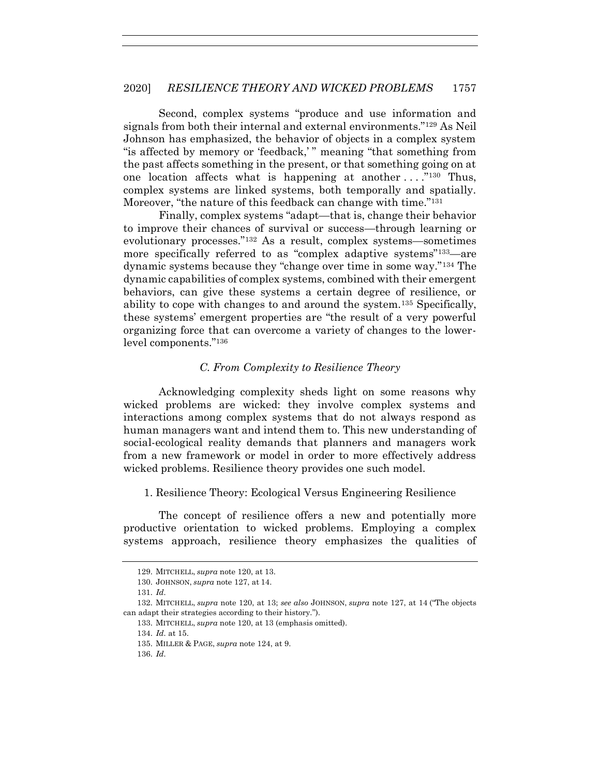Second, complex systems "produce and use information and signals from both their internal and external environments."<sup>129</sup> As Neil Johnson has emphasized, the behavior of objects in a complex system "is affected by memory or 'feedback,' " meaning "that something from the past affects something in the present, or that something going on at one location affects what is happening at another  $\dots$ ."<sup>130</sup> Thus, complex systems are linked systems, both temporally and spatially. Moreover, "the nature of this feedback can change with time."<sup>131</sup>

Finally, complex systems "adapt—that is, change their behavior to improve their chances of survival or success—through learning or evolutionary processes."<sup>132</sup> As a result, complex systems—sometimes more specifically referred to as "complex adaptive systems"133—are dynamic systems because they "change over time in some way."<sup>134</sup> The dynamic capabilities of complex systems, combined with their emergent behaviors, can give these systems a certain degree of resilience, or ability to cope with changes to and around the system.<sup>135</sup> Specifically, these systems' emergent properties are "the result of a very powerful organizing force that can overcome a variety of changes to the lowerlevel components."<sup>136</sup>

#### *C. From Complexity to Resilience Theory*

Acknowledging complexity sheds light on some reasons why wicked problems are wicked: they involve complex systems and interactions among complex systems that do not always respond as human managers want and intend them to. This new understanding of social-ecological reality demands that planners and managers work from a new framework or model in order to more effectively address wicked problems. Resilience theory provides one such model.

1. Resilience Theory: Ecological Versus Engineering Resilience

The concept of resilience offers a new and potentially more productive orientation to wicked problems. Employing a complex systems approach, resilience theory emphasizes the qualities of

<sup>129.</sup> MITCHELL, *supra* not[e 120,](#page-22-0) at 13.

<sup>130.</sup> JOHNSON, *supra* note [127,](#page-23-1) at 14.

<sup>131.</sup> *Id.*

<sup>132.</sup> MITCHELL, *supra* note [120,](#page-22-0) at 13; *see also* JOHNSON, *supra* note [127,](#page-23-1) at 14 ("The objects can adapt their strategies according to their history.").

<sup>133.</sup> MITCHELL, *supra* not[e 120,](#page-22-0) at 13 (emphasis omitted).

<sup>134.</sup> *Id.* at 15.

<sup>135.</sup> MILLER & PAGE, *supra* note [124,](#page-23-0) at 9.

<sup>136.</sup> *Id.*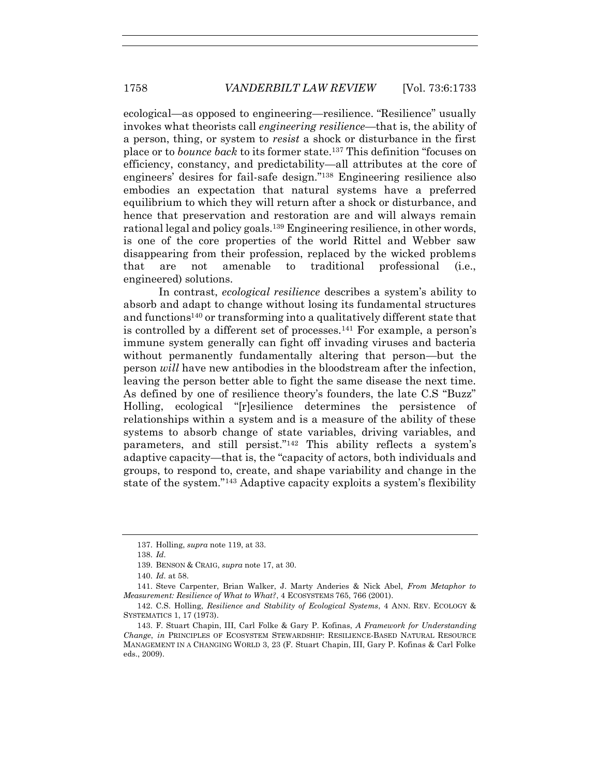ecological—as opposed to engineering—resilience. "Resilience" usually invokes what theorists call *engineering resilience*—that is, the ability of a person, thing, or system to *resist* a shock or disturbance in the first place or to *bounce back* to its former state.<sup>137</sup> This definition "focuses on efficiency, constancy, and predictability—all attributes at the core of engineers' desires for fail-safe design."<sup>138</sup> Engineering resilience also embodies an expectation that natural systems have a preferred equilibrium to which they will return after a shock or disturbance, and hence that preservation and restoration are and will always remain rational legal and policy goals.<sup>139</sup> Engineering resilience, in other words, is one of the core properties of the world Rittel and Webber saw disappearing from their profession, replaced by the wicked problems that are not amenable to traditional professional (i.e., engineered) solutions.

In contrast, *ecological resilience* describes a system's ability to absorb and adapt to change without losing its fundamental structures and functions<sup>140</sup> or transforming into a qualitatively different state that is controlled by a different set of processes.<sup>141</sup> For example, a person's immune system generally can fight off invading viruses and bacteria without permanently fundamentally altering that person—but the person *will* have new antibodies in the bloodstream after the infection, leaving the person better able to fight the same disease the next time. As defined by one of resilience theory's founders, the late C.S "Buzz" Holling, ecological "[r]esilience determines the persistence of relationships within a system and is a measure of the ability of these systems to absorb change of state variables, driving variables, and parameters, and still persist."<sup>142</sup> This ability reflects a system's adaptive capacity—that is, the "capacity of actors, both individuals and groups, to respond to, create, and shape variability and change in the state of the system."<sup>143</sup> Adaptive capacity exploits a system's flexibility

<sup>137.</sup> Holling, *supra* not[e 119,](#page-22-1) at 33.

<sup>138.</sup> *Id.*

<sup>139.</sup> BENSON & CRAIG, *supra* note [17,](#page-3-0) at 30.

<sup>140.</sup> *Id.* at 58.

<sup>141.</sup> Steve Carpenter, Brian Walker, J. Marty Anderies & Nick Abel, *From Metaphor to Measurement: Resilience of What to What?*, 4 ECOSYSTEMS 765, 766 (2001).

<sup>142.</sup> C.S. Holling, *Resilience and Stability of Ecological Systems*, 4 ANN. REV. ECOLOGY & SYSTEMATICS 1, 17 (1973).

<sup>143.</sup> F. Stuart Chapin, III, Carl Folke & Gary P. Kofinas, *A Framework for Understanding Change*, *in* PRINCIPLES OF ECOSYSTEM STEWARDSHIP: RESILIENCE-BASED NATURAL RESOURCE MANAGEMENT IN A CHANGING WORLD 3, 23 (F. Stuart Chapin, III, Gary P. Kofinas & Carl Folke eds., 2009).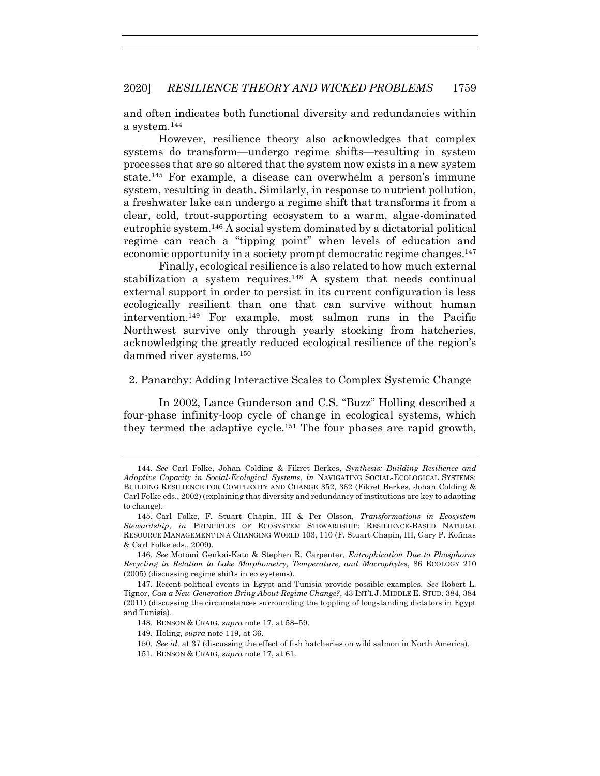and often indicates both functional diversity and redundancies within a system.<sup>144</sup>

However, resilience theory also acknowledges that complex systems do transform—undergo regime shifts—resulting in system processes that are so altered that the system now exists in a new system state.<sup>145</sup> For example, a disease can overwhelm a person's immune system, resulting in death. Similarly, in response to nutrient pollution, a freshwater lake can undergo a regime shift that transforms it from a clear, cold, trout-supporting ecosystem to a warm, algae-dominated eutrophic system.<sup>146</sup> A social system dominated by a dictatorial political regime can reach a "tipping point" when levels of education and economic opportunity in a society prompt democratic regime changes.<sup>147</sup>

Finally, ecological resilience is also related to how much external stabilization a system requires.<sup>148</sup> A system that needs continual external support in order to persist in its current configuration is less ecologically resilient than one that can survive without human intervention.<sup>149</sup> For example, most salmon runs in the Pacific Northwest survive only through yearly stocking from hatcheries, acknowledging the greatly reduced ecological resilience of the region's dammed river systems.<sup>150</sup>

2. Panarchy: Adding Interactive Scales to Complex Systemic Change

In 2002, Lance Gunderson and C.S. "Buzz" Holling described a four-phase infinity-loop cycle of change in ecological systems, which they termed the adaptive cycle.<sup>151</sup> The four phases are rapid growth,

- 149. Holing, *supra* note [119,](#page-22-1) at 36.
- 150*. See id.* at 37 (discussing the effect of fish hatcheries on wild salmon in North America).
- 151. BENSON & CRAIG, *supra* note [17,](#page-3-0) at 61.

<sup>144.</sup> *See* Carl Folke, Johan Colding & Fikret Berkes, *Synthesis: Building Resilience and Adaptive Capacity in Social-Ecological Systems*, *in* NAVIGATING SOCIAL-ECOLOGICAL SYSTEMS: BUILDING RESILIENCE FOR COMPLEXITY AND CHANGE 352, 362 (Fikret Berkes, Johan Colding & Carl Folke eds., 2002) (explaining that diversity and redundancy of institutions are key to adapting to change).

<sup>145.</sup> Carl Folke, F. Stuart Chapin, III & Per Olsson, *Transformations in Ecosystem Stewardship*, *in* PRINCIPLES OF ECOSYSTEM STEWARDSHIP: RESILIENCE-BASED NATURAL RESOURCE MANAGEMENT IN A CHANGING WORLD 103, 110 (F. Stuart Chapin, III, Gary P. Kofinas & Carl Folke eds., 2009).

<sup>146.</sup> *See* Motomi Genkai-Kato & Stephen R. Carpenter, *Eutrophication Due to Phosphorus Recycling in Relation to Lake Morphometry, Temperature, and Macrophytes*, 86 ECOLOGY 210 (2005) (discussing regime shifts in ecosystems).

<sup>147.</sup> Recent political events in Egypt and Tunisia provide possible examples. *See* Robert L. Tignor, *Can a New Generation Bring About Regime Change?*, 43 INT'L J. MIDDLE E. STUD. 384, 384 (2011) (discussing the circumstances surrounding the toppling of longstanding dictators in Egypt and Tunisia).

<sup>148.</sup> BENSON & CRAIG, *supra* note [17,](#page-3-0) at 58–59.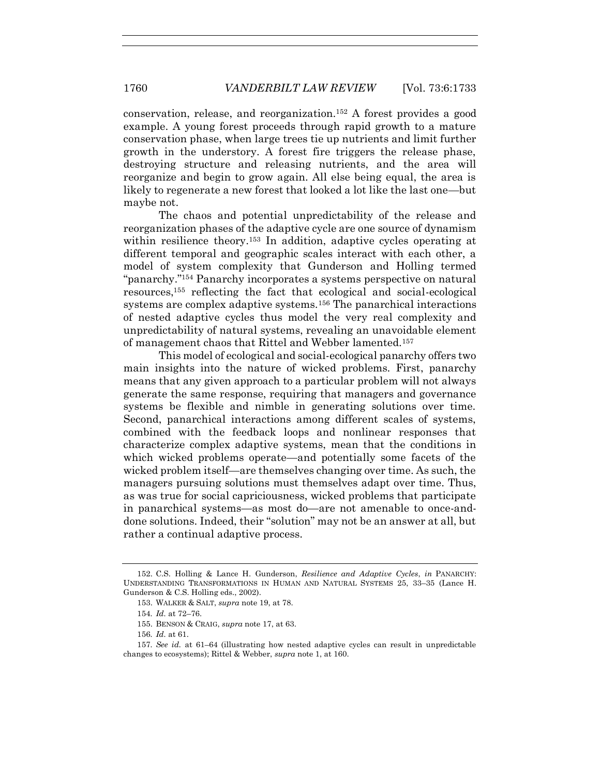<span id="page-27-0"></span>conservation, release, and reorganization.<sup>152</sup> A forest provides a good example. A young forest proceeds through rapid growth to a mature conservation phase, when large trees tie up nutrients and limit further growth in the understory. A forest fire triggers the release phase, destroying structure and releasing nutrients, and the area will reorganize and begin to grow again. All else being equal, the area is likely to regenerate a new forest that looked a lot like the last one—but maybe not.

The chaos and potential unpredictability of the release and reorganization phases of the adaptive cycle are one source of dynamism within resilience theory.<sup>153</sup> In addition, adaptive cycles operating at different temporal and geographic scales interact with each other, a model of system complexity that Gunderson and Holling termed "panarchy."<sup>154</sup> Panarchy incorporates a systems perspective on natural resources,<sup>155</sup> reflecting the fact that ecological and social-ecological systems are complex adaptive systems.<sup>156</sup> The panarchical interactions of nested adaptive cycles thus model the very real complexity and unpredictability of natural systems, revealing an unavoidable element of management chaos that Rittel and Webber lamented.<sup>157</sup>

This model of ecological and social-ecological panarchy offers two main insights into the nature of wicked problems. First, panarchy means that any given approach to a particular problem will not always generate the same response, requiring that managers and governance systems be flexible and nimble in generating solutions over time. Second, panarchical interactions among different scales of systems, combined with the feedback loops and nonlinear responses that characterize complex adaptive systems, mean that the conditions in which wicked problems operate—and potentially some facets of the wicked problem itself—are themselves changing over time. As such, the managers pursuing solutions must themselves adapt over time. Thus, as was true for social capriciousness, wicked problems that participate in panarchical systems—as most do—are not amenable to once-anddone solutions. Indeed, their "solution" may not be an answer at all, but rather a continual adaptive process.

<sup>152.</sup> C.S. Holling & Lance H. Gunderson, *Resilience and Adaptive Cycles*, *in* PANARCHY: UNDERSTANDING TRANSFORMATIONS IN HUMAN AND NATURAL SYSTEMS 25, 33–35 (Lance H. Gunderson & C.S. Holling eds., 2002).

<sup>153.</sup> WALKER & SALT, *supra* note [19,](#page-4-0) at 78.

<sup>154</sup>*. Id.* at 72–76.

<sup>155.</sup> BENSON & CRAIG, *supra* note [17,](#page-3-0) at 63.

<sup>156</sup>*. Id.* at 61.

<sup>157</sup>*. See id.* at 61–64 (illustrating how nested adaptive cycles can result in unpredictable changes to ecosystems); Rittel & Webber, *supra* note [1,](#page-2-0) at 160.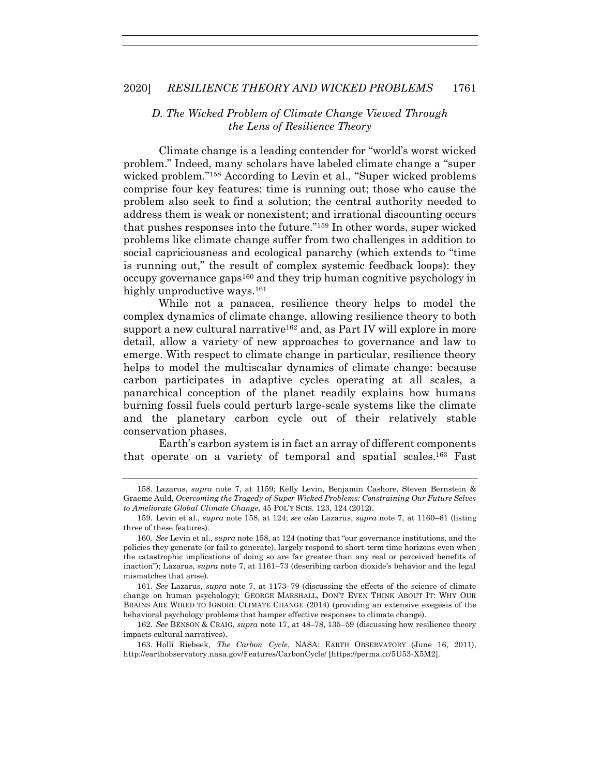## <span id="page-28-0"></span>*D. The Wicked Problem of Climate Change Viewed Through the Lens of Resilience Theory*

Climate change is a leading contender for "world's worst wicked problem." Indeed, many scholars have labeled climate change a "super wicked problem."<sup>158</sup> According to Levin et al., "Super wicked problems comprise four key features: time is running out; those who cause the problem also seek to find a solution; the central authority needed to address them is weak or nonexistent; and irrational discounting occurs that pushes responses into the future."<sup>159</sup> In other words, super wicked problems like climate change suffer from two challenges in addition to social capriciousness and ecological panarchy (which extends to "time is running out," the result of complex systemic feedback loops): they occupy governance gaps<sup>160</sup> and they trip human cognitive psychology in highly unproductive ways.<sup>161</sup>

While not a panacea, resilience theory helps to model the complex dynamics of climate change, allowing resilience theory to both support a new cultural narrative<sup>162</sup> and, as Part IV will explore in more detail, allow a variety of new approaches to governance and law to emerge. With respect to climate change in particular, resilience theory helps to model the multiscalar dynamics of climate change: because carbon participates in adaptive cycles operating at all scales, a panarchical conception of the planet readily explains how humans burning fossil fuels could perturb large-scale systems like the climate and the planetary carbon cycle out of their relatively stable conservation phases.

Earth's carbon system is in fact an array of different components that operate on a variety of temporal and spatial scales.<sup>163</sup> Fast

<sup>158.</sup> Lazarus, *supra* note [7,](#page-2-2) at 1159; Kelly Levin, Benjamin Cashore, Steven Bernstein & Graeme Auld, *Overcoming the Tragedy of Super Wicked Problems: Constraining Our Future Selves to Ameliorate Global Climate Change*, 45 POL'Y SCIS. 123, 124 (2012).

<sup>159.</sup> Levin et al., *supra* note [158,](#page-28-0) at 124; *see also* Lazarus, *supra* note [7,](#page-2-2) at 1160–61 (listing three of these features).

<sup>160</sup>*. See* Levin et al., *supra* not[e 158,](#page-28-0) at 124 (noting that "our governance institutions, and the policies they generate (or fail to generate), largely respond to short-term time horizons even when the catastrophic implications of doing so are far greater than any real or perceived benefits of inaction"); Lazarus, *supra* note [7,](#page-2-2) at 1161–73 (describing carbon dioxide's behavior and the legal mismatches that arise).

<sup>161</sup>*. See* Lazarus, *supra* note [7,](#page-2-2) at 1173–79 (discussing the effects of the science of climate change on human psychology); GEORGE MARSHALL, DON'T EVEN THINK ABOUT IT: WHY OUR BRAINS ARE WIRED TO IGNORE CLIMATE CHANGE (2014) (providing an extensive exegesis of the behavioral psychology problems that hamper effective responses to climate change).

<sup>162</sup>*. See* BENSON & CRAIG, *supra* note [17,](#page-3-0) at 48–78, 135–59 (discussing how resilience theory impacts cultural narratives).

<sup>163.</sup> Holli Riebeek, *The Carbon Cycle*, NASA: EARTH OBSERVATORY (June 16, 2011), http://earthobservatory.nasa.gov/Features/CarbonCycle/ [https://perma.cc/5U53-X5M2].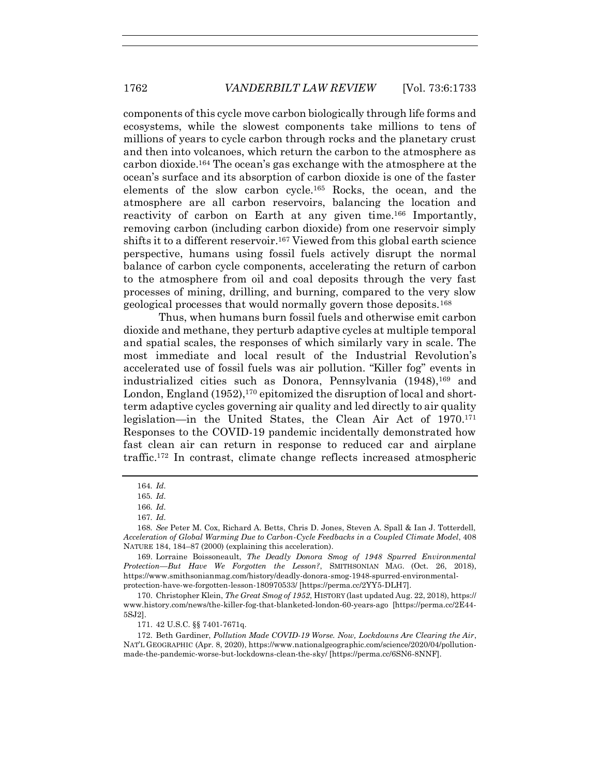components of this cycle move carbon biologically through life forms and ecosystems, while the slowest components take millions to tens of millions of years to cycle carbon through rocks and the planetary crust and then into volcanoes, which return the carbon to the atmosphere as carbon dioxide.<sup>164</sup> The ocean's gas exchange with the atmosphere at the ocean's surface and its absorption of carbon dioxide is one of the faster elements of the slow carbon cycle.<sup>165</sup> Rocks, the ocean, and the atmosphere are all carbon reservoirs, balancing the location and reactivity of carbon on Earth at any given time.<sup>166</sup> Importantly, removing carbon (including carbon dioxide) from one reservoir simply shifts it to a different reservoir.<sup>167</sup> Viewed from this global earth science perspective, humans using fossil fuels actively disrupt the normal balance of carbon cycle components, accelerating the return of carbon to the atmosphere from oil and coal deposits through the very fast processes of mining, drilling, and burning, compared to the very slow geological processes that would normally govern those deposits.<sup>168</sup>

Thus, when humans burn fossil fuels and otherwise emit carbon dioxide and methane, they perturb adaptive cycles at multiple temporal and spatial scales, the responses of which similarly vary in scale. The most immediate and local result of the Industrial Revolution's accelerated use of fossil fuels was air pollution. "Killer fog" events in industrialized cities such as Donora, Pennsylvania (1948),<sup>169</sup> and London, England (1952), <sup>170</sup> epitomized the disruption of local and shortterm adaptive cycles governing air quality and led directly to air quality legislation—in the United States, the Clean Air Act of 1970.<sup>171</sup> Responses to the COVID-19 pandemic incidentally demonstrated how fast clean air can return in response to reduced car and airplane traffic.<sup>172</sup> In contrast, climate change reflects increased atmospheric

170. Christopher Klein, *The Great Smog of 1952*, HISTORY (last updated Aug. 22, 2018), https:// www.history.com/news/the-killer-fog-that-blanketed-london-60-years-ago [https://perma.cc/2E44- 5SJ2].

171. 42 U.S.C. §§ 7401-7671q.

172. Beth Gardiner, *Pollution Made COVID-19 Worse. Now, Lockdowns Are Clearing the Air*, NAT'L GEOGRAPHIC (Apr. 8, 2020), https://www.nationalgeographic.com/science/2020/04/pollutionmade-the-pandemic-worse-but-lockdowns-clean-the-sky/ [https://perma.cc/6SN6-8NNF].

<sup>164</sup>*. Id.*

<sup>165</sup>*. Id.*

<sup>166</sup>*. Id.*

<sup>167</sup>*. Id.*

<sup>168</sup>*. See* Peter M. Cox, Richard A. Betts, Chris D. Jones, Steven A. Spall & Ian J. Totterdell, *Acceleration of Global Warming Due to Carbon-Cycle Feedbacks in a Coupled Climate Model*, 408 NATURE 184, 184–87 (2000) (explaining this acceleration).

<sup>169.</sup> Lorraine Boissoneault, *The Deadly Donora Smog of 1948 Spurred Environmental Protection—But Have We Forgotten the Lesson?*, SMITHSONIAN MAG. (Oct. 26, 2018), https://www.smithsonianmag.com/history/deadly-donora-smog-1948-spurred-environmentalprotection-have-we-forgotten-lesson-180970533/ [https://perma.cc/2YY5-DLH7].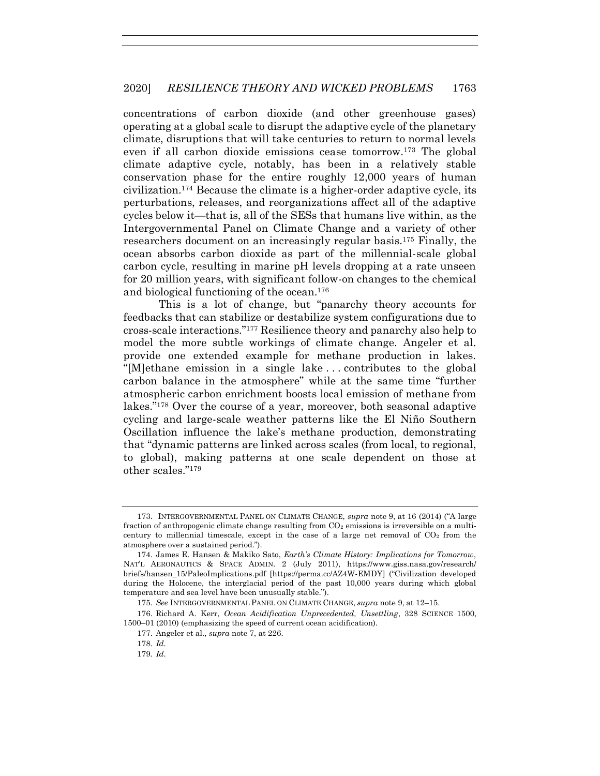concentrations of carbon dioxide (and other greenhouse gases) operating at a global scale to disrupt the adaptive cycle of the planetary climate, disruptions that will take centuries to return to normal levels even if all carbon dioxide emissions cease tomorrow.<sup>173</sup> The global climate adaptive cycle, notably, has been in a relatively stable conservation phase for the entire roughly 12,000 years of human civilization.<sup>174</sup> Because the climate is a higher-order adaptive cycle, its perturbations, releases, and reorganizations affect all of the adaptive cycles below it—that is, all of the SESs that humans live within, as the Intergovernmental Panel on Climate Change and a variety of other researchers document on an increasingly regular basis.<sup>175</sup> Finally, the ocean absorbs carbon dioxide as part of the millennial-scale global carbon cycle, resulting in marine pH levels dropping at a rate unseen for 20 million years, with significant follow-on changes to the chemical and biological functioning of the ocean.<sup>176</sup>

This is a lot of change, but "panarchy theory accounts for feedbacks that can stabilize or destabilize system configurations due to cross-scale interactions."<sup>177</sup> Resilience theory and panarchy also help to model the more subtle workings of climate change. Angeler et al. provide one extended example for methane production in lakes. "[M]ethane emission in a single lake . . . contributes to the global carbon balance in the atmosphere" while at the same time "further atmospheric carbon enrichment boosts local emission of methane from lakes."<sup>178</sup> Over the course of a year, moreover, both seasonal adaptive cycling and large-scale weather patterns like the El Niño Southern Oscillation influence the lake's methane production, demonstrating that "dynamic patterns are linked across scales (from local, to regional, to global), making patterns at one scale dependent on those at other scales."<sup>179</sup>

<sup>173.</sup> INTERGOVERNMENTAL PANEL ON CLIMATE CHANGE, *supra* note [9,](#page-2-3) at 16 (2014) ("A large fraction of anthropogenic climate change resulting from  $CO<sub>2</sub>$  emissions is irreversible on a multicentury to millennial timescale, except in the case of a large net removal of  $CO<sub>2</sub>$  from the atmosphere over a sustained period.").

<sup>174.</sup> James E. Hansen & Makiko Sato, *Earth's Climate History: Implications for Tomorrow*, NAT'L AERONAUTICS & SPACE ADMIN. 2 (July 2011), https://www.giss.nasa.gov/research/ briefs/hansen\_15/PaleoImplications.pdf [https://perma.cc/AZ4W-EMDY] ("Civilization developed during the Holocene, the interglacial period of the past 10,000 years during which global temperature and sea level have been unusually stable.").

<sup>175</sup>*. See* INTERGOVERNMENTAL PANEL ON CLIMATE CHANGE, *supra* note [9,](#page-2-3) at 12–15.

<sup>176.</sup> Richard A. Kerr, *Ocean Acidification Unprecedented, Unsettling*, 328 SCIENCE 1500, 1500–01 (2010) (emphasizing the speed of current ocean acidification).

<sup>177.</sup> Angeler et al., *supra* note [7,](#page-2-2) at 226.

<sup>178</sup>*. Id.*

<sup>179</sup>*. Id.*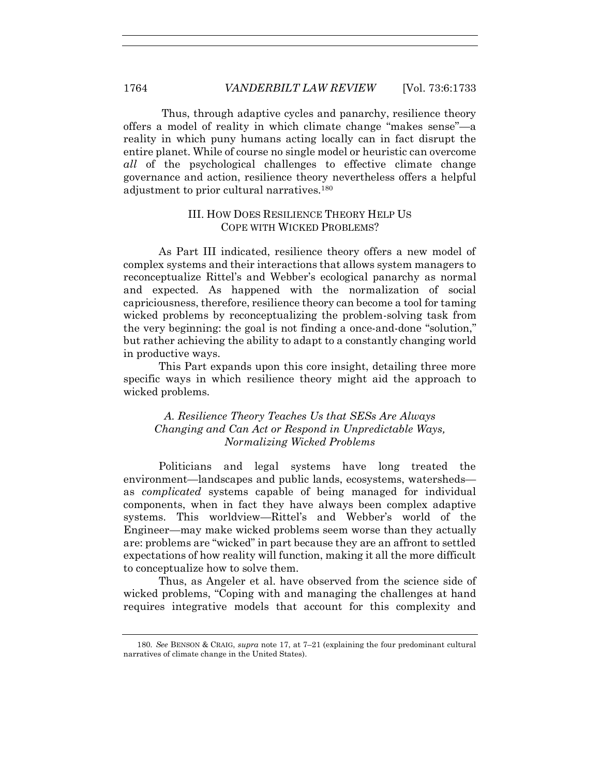Thus, through adaptive cycles and panarchy, resilience theory offers a model of reality in which climate change "makes sense"—a reality in which puny humans acting locally can in fact disrupt the entire planet. While of course no single model or heuristic can overcome *all* of the psychological challenges to effective climate change governance and action, resilience theory nevertheless offers a helpful adjustment to prior cultural narratives.<sup>180</sup>

#### III. HOW DOES RESILIENCE THEORY HELP US COPE WITH WICKED PROBLEMS?

As Part III indicated, resilience theory offers a new model of complex systems and their interactions that allows system managers to reconceptualize Rittel's and Webber's ecological panarchy as normal and expected. As happened with the normalization of social capriciousness, therefore, resilience theory can become a tool for taming wicked problems by reconceptualizing the problem-solving task from the very beginning: the goal is not finding a once-and-done "solution," but rather achieving the ability to adapt to a constantly changing world in productive ways.

This Part expands upon this core insight, detailing three more specific ways in which resilience theory might aid the approach to wicked problems.

*A. Resilience Theory Teaches Us that SESs Are Always Changing and Can Act or Respond in Unpredictable Ways, Normalizing Wicked Problems*

Politicians and legal systems have long treated the environment—landscapes and public lands, ecosystems, watersheds as *complicated* systems capable of being managed for individual components, when in fact they have always been complex adaptive systems. This worldview—Rittel's and Webber's world of the Engineer—may make wicked problems seem worse than they actually are: problems are "wicked" in part because they are an affront to settled expectations of how reality will function, making it all the more difficult to conceptualize how to solve them.

Thus, as Angeler et al. have observed from the science side of wicked problems, "Coping with and managing the challenges at hand requires integrative models that account for this complexity and

<sup>180</sup>*. See* BENSON & CRAIG, *supra* note [17,](#page-3-0) at 7–21 (explaining the four predominant cultural narratives of climate change in the United States).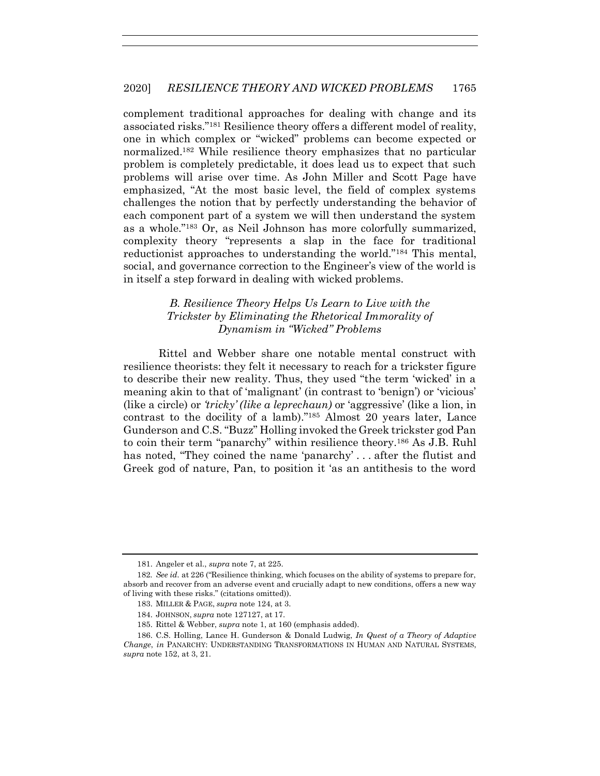complement traditional approaches for dealing with change and its associated risks."<sup>181</sup> Resilience theory offers a different model of reality, one in which complex or "wicked" problems can become expected or normalized.<sup>182</sup> While resilience theory emphasizes that no particular problem is completely predictable, it does lead us to expect that such problems will arise over time. As John Miller and Scott Page have emphasized, "At the most basic level, the field of complex systems challenges the notion that by perfectly understanding the behavior of each component part of a system we will then understand the system as a whole."<sup>183</sup> Or, as Neil Johnson has more colorfully summarized, complexity theory "represents a slap in the face for traditional reductionist approaches to understanding the world."<sup>184</sup> This mental, social, and governance correction to the Engineer's view of the world is in itself a step forward in dealing with wicked problems.

## <span id="page-32-0"></span>*B. Resilience Theory Helps Us Learn to Live with the Trickster by Eliminating the Rhetorical Immorality of Dynamism in "Wicked" Problems*

Rittel and Webber share one notable mental construct with resilience theorists: they felt it necessary to reach for a trickster figure to describe their new reality. Thus, they used "the term 'wicked' in a meaning akin to that of 'malignant' (in contrast to 'benign') or 'vicious' (like a circle) or *'tricky' (like a leprechaun)* or 'aggressive' (like a lion, in contrast to the docility of a lamb)."<sup>185</sup> Almost 20 years later, Lance Gunderson and C.S. "Buzz" Holling invoked the Greek trickster god Pan to coin their term "panarchy" within resilience theory.<sup>186</sup> As J.B. Ruhl has noted, "They coined the name 'panarchy' ... after the flutist and Greek god of nature, Pan, to position it 'as an antithesis to the word

<sup>181.</sup> Angeler et al., *supra* note [7,](#page-2-2) at 225.

<sup>182</sup>*. See id.* at 226 ("Resilience thinking, which focuses on the ability of systems to prepare for, absorb and recover from an adverse event and crucially adapt to new conditions, offers a new way of living with these risks." (citations omitted)).

<sup>183.</sup> MILLER & PAGE, *supra* note [124,](#page-23-0) at 3.

<sup>184.</sup> JOHNSON, *supra* note [1271](#page-23-1)27, at 17.

<sup>185.</sup> Rittel & Webber, *supra* not[e 1,](#page-2-0) at 160 (emphasis added).

<sup>186.</sup> C.S. Holling, Lance H. Gunderson & Donald Ludwig, *In Quest of a Theory of Adaptive Change*, *in* PANARCHY: UNDERSTANDING TRANSFORMATIONS IN HUMAN AND NATURAL SYSTEMS, *supra* not[e 152,](#page-27-0) at 3, 21.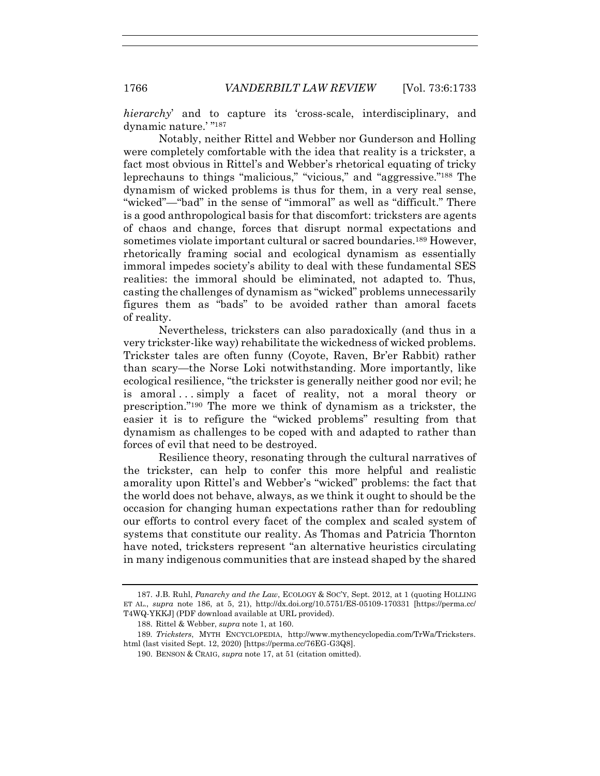*hierarchy*' and to capture its 'cross-scale, interdisciplinary, and dynamic nature.' " 187

Notably, neither Rittel and Webber nor Gunderson and Holling were completely comfortable with the idea that reality is a trickster, a fact most obvious in Rittel's and Webber's rhetorical equating of tricky leprechauns to things "malicious," "vicious," and "aggressive."<sup>188</sup> The dynamism of wicked problems is thus for them, in a very real sense, "wicked"—"bad" in the sense of "immoral" as well as "difficult." There is a good anthropological basis for that discomfort: tricksters are agents of chaos and change, forces that disrupt normal expectations and sometimes violate important cultural or sacred boundaries.<sup>189</sup> However, rhetorically framing social and ecological dynamism as essentially immoral impedes society's ability to deal with these fundamental SES realities: the immoral should be eliminated, not adapted to. Thus, casting the challenges of dynamism as "wicked" problems unnecessarily figures them as "bads" to be avoided rather than amoral facets of reality.

Nevertheless, tricksters can also paradoxically (and thus in a very trickster-like way) rehabilitate the wickedness of wicked problems. Trickster tales are often funny (Coyote, Raven, Br'er Rabbit) rather than scary—the Norse Loki notwithstanding. More importantly, like ecological resilience, "the trickster is generally neither good nor evil; he is amoral . . . simply a facet of reality, not a moral theory or prescription."<sup>190</sup> The more we think of dynamism as a trickster, the easier it is to refigure the "wicked problems" resulting from that dynamism as challenges to be coped with and adapted to rather than forces of evil that need to be destroyed.

Resilience theory, resonating through the cultural narratives of the trickster, can help to confer this more helpful and realistic amorality upon Rittel's and Webber's "wicked" problems: the fact that the world does not behave, always, as we think it ought to should be the occasion for changing human expectations rather than for redoubling our efforts to control every facet of the complex and scaled system of systems that constitute our reality. As Thomas and Patricia Thornton have noted, tricksters represent "an alternative heuristics circulating in many indigenous communities that are instead shaped by the shared

<sup>187.</sup> J.B. Ruhl, *Panarchy and the Law*, ECOLOGY & SOC'Y, Sept. 2012, at 1 (quoting HOLLING ET AL., *supra* note [186,](#page-32-0) at 5, 21), http://dx.doi.org/10.5751/ES-05109-170331 [https://perma.cc/ T4WQ-YKKJ] (PDF download available at URL provided).

<sup>188.</sup> Rittel & Webber, *supra* not[e 1,](#page-2-0) at 160.

<sup>189</sup>*. Tricksters*, MYTH ENCYCLOPEDIA, http://www.mythencyclopedia.com/TrWa/Tricksters. html (last visited Sept. 12, 2020) [https://perma.cc/76EG-G3Q8].

<sup>190.</sup> BENSON & CRAIG, *supra* note [17,](#page-3-0) at 51 (citation omitted).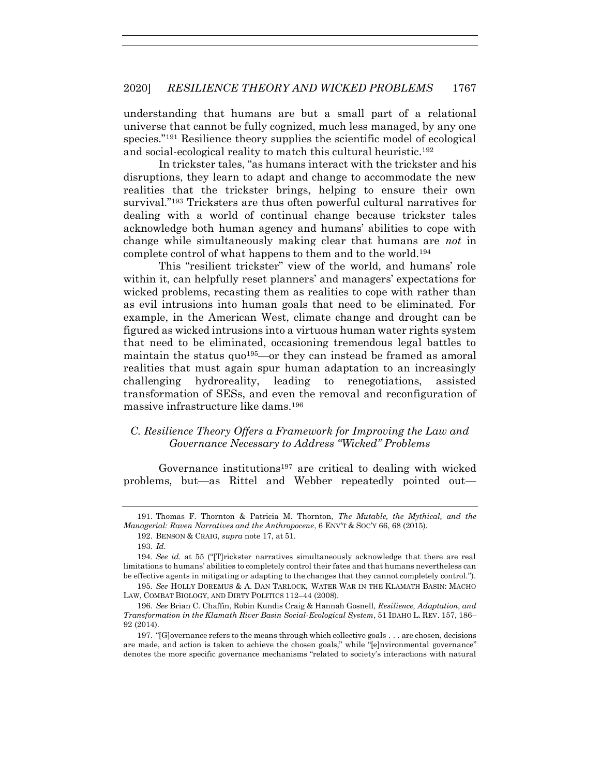understanding that humans are but a small part of a relational universe that cannot be fully cognized, much less managed, by any one species."<sup>191</sup> Resilience theory supplies the scientific model of ecological and social-ecological reality to match this cultural heuristic.<sup>192</sup>

In trickster tales, "as humans interact with the trickster and his disruptions, they learn to adapt and change to accommodate the new realities that the trickster brings, helping to ensure their own survival."<sup>193</sup> Tricksters are thus often powerful cultural narratives for dealing with a world of continual change because trickster tales acknowledge both human agency and humans' abilities to cope with change while simultaneously making clear that humans are *not* in complete control of what happens to them and to the world.<sup>194</sup>

This "resilient trickster" view of the world, and humans' role within it, can helpfully reset planners' and managers' expectations for wicked problems, recasting them as realities to cope with rather than as evil intrusions into human goals that need to be eliminated. For example, in the American West, climate change and drought can be figured as wicked intrusions into a virtuous human water rights system that need to be eliminated, occasioning tremendous legal battles to maintain the status quo<sup>195</sup>—or they can instead be framed as amoral realities that must again spur human adaptation to an increasingly challenging hydroreality, leading to renegotiations, assisted transformation of SESs, and even the removal and reconfiguration of massive infrastructure like dams.<sup>196</sup>

# <span id="page-34-0"></span>*C. Resilience Theory Offers a Framework for Improving the Law and Governance Necessary to Address "Wicked" Problems*

Governance institutions<sup>197</sup> are critical to dealing with wicked problems, but—as Rittel and Webber repeatedly pointed out—

<sup>191.</sup> Thomas F. Thornton & Patricia M. Thornton, *The Mutable, the Mythical, and the Managerial: Raven Narratives and the Anthropocene*, 6 ENV'T & SOC'Y 66, 68 (2015).

<sup>192.</sup> BENSON & CRAIG, *supra* note [17,](#page-3-0) at 51.

<sup>193</sup>*. Id.*

<sup>194</sup>*. See id.* at 55 ("[T]rickster narratives simultaneously acknowledge that there are real limitations to humans' abilities to completely control their fates and that humans nevertheless can be effective agents in mitigating or adapting to the changes that they cannot completely control.").

<sup>195</sup>*. See* HOLLY DOREMUS & A. DAN TARLOCK, WATER WAR IN THE KLAMATH BASIN: MACHO LAW, COMBAT BIOLOGY, AND DIRTY POLITICS 112–44 (2008).

<sup>196</sup>*. See* Brian C. Chaffin, Robin Kundis Craig & Hannah Gosnell, *Resilience, Adaptation, and Transformation in the Klamath River Basin Social-Ecological System*, 51 IDAHO L. REV. 157, 186– 92 (2014).

<sup>197.</sup> "[G]overnance refers to the means through which collective goals . . . are chosen, decisions are made, and action is taken to achieve the chosen goals," while "[e]nvironmental governance" denotes the more specific governance mechanisms "related to society's interactions with natural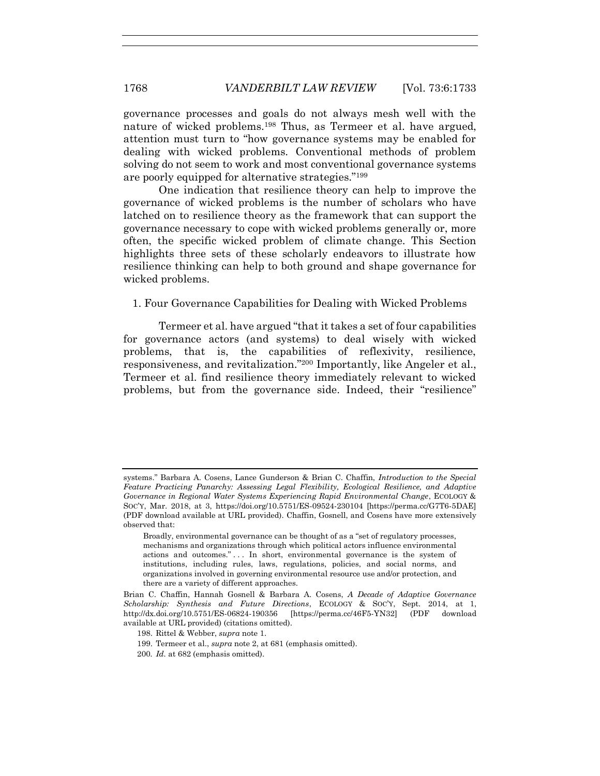governance processes and goals do not always mesh well with the nature of wicked problems.<sup>198</sup> Thus, as Termeer et al. have argued, attention must turn to "how governance systems may be enabled for dealing with wicked problems. Conventional methods of problem solving do not seem to work and most conventional governance systems are poorly equipped for alternative strategies."<sup>199</sup>

One indication that resilience theory can help to improve the governance of wicked problems is the number of scholars who have latched on to resilience theory as the framework that can support the governance necessary to cope with wicked problems generally or, more often, the specific wicked problem of climate change. This Section highlights three sets of these scholarly endeavors to illustrate how resilience thinking can help to both ground and shape governance for wicked problems.

1. Four Governance Capabilities for Dealing with Wicked Problems

Termeer et al. have argued "that it takes a set of four capabilities for governance actors (and systems) to deal wisely with wicked problems, that is, the capabilities of reflexivity, resilience, responsiveness, and revitalization."<sup>200</sup> Importantly, like Angeler et al., Termeer et al. find resilience theory immediately relevant to wicked problems, but from the governance side. Indeed, their "resilience"

systems." Barbara A. Cosens, Lance Gunderson & Brian C. Chaffin, *Introduction to the Special Feature Practicing Panarchy: Assessing Legal Flexibility, Ecological Resilience, and Adaptive Governance in Regional Water Systems Experiencing Rapid Environmental Change*, ECOLOGY & SOC'Y, Mar. 2018, at 3, https://doi.org/10.5751/ES-09524-230104 [https://perma.cc/G7T6-5DAE] (PDF download available at URL provided). Chaffin, Gosnell, and Cosens have more extensively observed that:

Broadly, environmental governance can be thought of as a "set of regulatory processes, mechanisms and organizations through which political actors influence environmental actions and outcomes." . . . In short, environmental governance is the system of institutions, including rules, laws, regulations, policies, and social norms, and organizations involved in governing environmental resource use and/or protection, and there are a variety of different approaches.

Brian C. Chaffin, Hannah Gosnell & Barbara A. Cosens, *A Decade of Adaptive Governance Scholarship: Synthesis and Future Directions*, ECOLOGY & SOC'Y, Sept. 2014, at 1, http://dx.doi.org/10.5751/ES-06824-190356 [https://perma.cc/46F5-YN32] (PDF download available at URL provided) (citations omitted).

<sup>198.</sup> Rittel & Webber, *supra* not[e 1.](#page-2-0)

<sup>199.</sup> Termeer et al., *supra* not[e 2,](#page-2-1) at 681 (emphasis omitted).

<sup>200</sup>*. Id.* at 682 (emphasis omitted).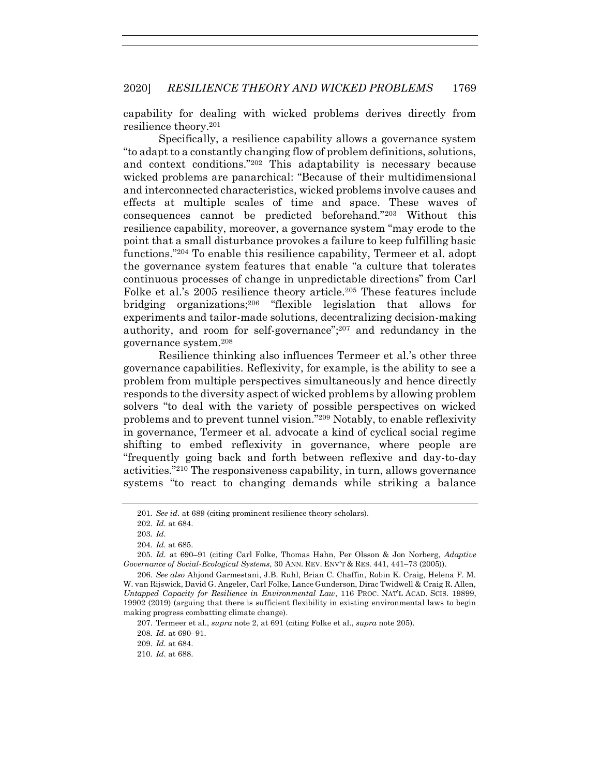capability for dealing with wicked problems derives directly from resilience theory.<sup>201</sup>

Specifically, a resilience capability allows a governance system "to adapt to a constantly changing flow of problem definitions, solutions, and context conditions."<sup>202</sup> This adaptability is necessary because wicked problems are panarchical: "Because of their multidimensional and interconnected characteristics, wicked problems involve causes and effects at multiple scales of time and space. These waves of consequences cannot be predicted beforehand."<sup>203</sup> Without this resilience capability, moreover, a governance system "may erode to the point that a small disturbance provokes a failure to keep fulfilling basic functions."<sup>204</sup> To enable this resilience capability, Termeer et al. adopt the governance system features that enable "a culture that tolerates continuous processes of change in unpredictable directions" from Carl Folke et al.'s 2005 resilience theory article.<sup>205</sup> These features include bridging organizations;<sup>206</sup> "flexible legislation that allows for experiments and tailor-made solutions, decentralizing decision-making authority, and room for self-governance"; <sup>207</sup> and redundancy in the governance system.<sup>208</sup>

<span id="page-36-0"></span>Resilience thinking also influences Termeer et al.'s other three governance capabilities. Reflexivity, for example, is the ability to see a problem from multiple perspectives simultaneously and hence directly responds to the diversity aspect of wicked problems by allowing problem solvers "to deal with the variety of possible perspectives on wicked problems and to prevent tunnel vision."<sup>209</sup> Notably, to enable reflexivity in governance, Termeer et al. advocate a kind of cyclical social regime shifting to embed reflexivity in governance, where people are "frequently going back and forth between reflexive and day-to-day activities."<sup>210</sup> The responsiveness capability, in turn, allows governance systems "to react to changing demands while striking a balance

<sup>201</sup>*. See id.* at 689 (citing prominent resilience theory scholars).

<sup>202</sup>*. Id.* at 684.

<sup>203</sup>*. Id.*

<sup>204</sup>*. Id.* at 685.

<sup>205</sup>*. Id.* at 690–91 (citing Carl Folke, Thomas Hahn, Per Olsson & Jon Norberg, *Adaptive Governance of Social-Ecological Systems*, 30 ANN. REV. ENV'T & RES. 441, 441–73 (2005)).

<sup>206</sup>*. See also* Ahjond Garmestani, J.B. Ruhl, Brian C. Chaffin, Robin K. Craig, Helena F. M. W. van Rijswick, David G. Angeler, Carl Folke, Lance Gunderson, Dirac Twidwell & Craig R. Allen, *Untapped Capacity for Resilience in Environmental Law*, 116 PROC. NAT'L ACAD. SCIS. 19899, 19902 (2019) (arguing that there is sufficient flexibility in existing environmental laws to begin making progress combatting climate change).

<sup>207.</sup> Termeer et al., *supra* not[e 2,](#page-2-1) at 691 (citing Folke et al., *supra* note [205\)](#page-36-0).

<sup>208</sup>*. Id.* at 690–91.

<sup>209</sup>*. Id.* at 684.

<sup>210</sup>*. Id.* at 688.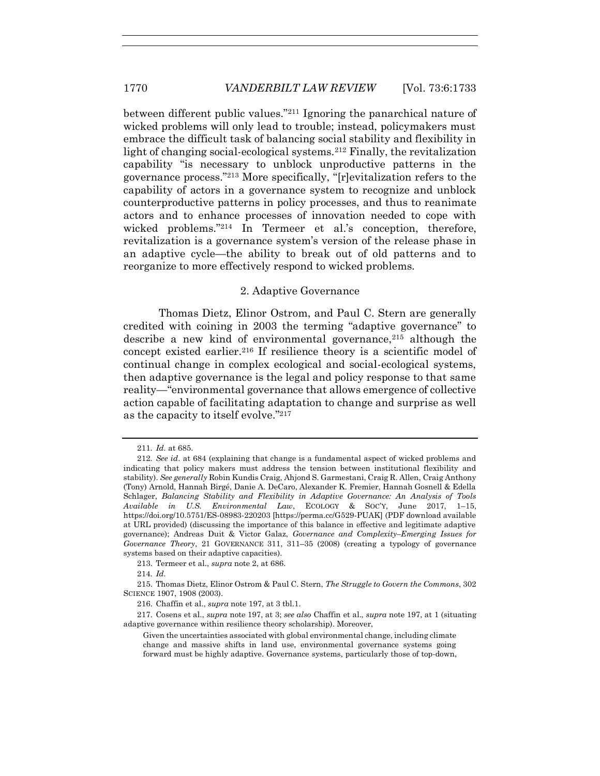between different public values."<sup>211</sup> Ignoring the panarchical nature of wicked problems will only lead to trouble; instead, policymakers must embrace the difficult task of balancing social stability and flexibility in light of changing social-ecological systems.<sup>212</sup> Finally, the revitalization capability "is necessary to unblock unproductive patterns in the governance process."<sup>213</sup> More specifically, "[r]evitalization refers to the capability of actors in a governance system to recognize and unblock counterproductive patterns in policy processes, and thus to reanimate actors and to enhance processes of innovation needed to cope with wicked problems."<sup>214</sup> In Termeer et al.'s conception, therefore, revitalization is a governance system's version of the release phase in an adaptive cycle—the ability to break out of old patterns and to reorganize to more effectively respond to wicked problems.

#### 2. Adaptive Governance

Thomas Dietz, Elinor Ostrom, and Paul C. Stern are generally credited with coining in 2003 the terming "adaptive governance" to describe a new kind of environmental governance,  $215$  although the concept existed earlier.<sup>216</sup> If resilience theory is a scientific model of continual change in complex ecological and social-ecological systems, then adaptive governance is the legal and policy response to that same reality—"environmental governance that allows emergence of collective action capable of facilitating adaptation to change and surprise as well as the capacity to itself evolve."<sup>217</sup>

<sup>211</sup>*. Id.* at 685.

<sup>212</sup>*. See id*. at 684 (explaining that change is a fundamental aspect of wicked problems and indicating that policy makers must address the tension between institutional flexibility and stability). *See generally* Robin Kundis Craig, Ahjond S. Garmestani, Craig R. Allen, Craig Anthony (Tony) Arnold, Hannah Birgé, Danie A. DeCaro, Alexander K. Fremier, Hannah Gosnell & Edella Schlager, *Balancing Stability and Flexibility in Adaptive Governance: An Analysis of Tools Available in U.S. Environmental Law*, ECOLOGY & SOC'Y, June 2017, 1–15, https://doi.org/10.5751/ES-08983-220203 [https://perma.cc/G529-PUAK] (PDF download available at URL provided) (discussing the importance of this balance in effective and legitimate adaptive governance); Andreas Duit & Victor Galaz, *Governance and Complexity–Emerging Issues for Governance Theory*, 21 GOVERNANCE 311, 311–35 (2008) (creating a typology of governance systems based on their adaptive capacities).

<sup>213.</sup> Termeer et al., *supra* not[e 2,](#page-2-1) at 686.

<sup>214</sup>*. Id.*

<sup>215.</sup> Thomas Dietz, Elinor Ostrom & Paul C. Stern, *The Struggle to Govern the Commons*, 302 SCIENCE 1907, 1908 (2003).

<sup>216.</sup> Chaffin et al., *supra* not[e 197,](#page-34-0) at 3 tbl.1.

<sup>217.</sup> Cosens et al., *supra* not[e 197,](#page-34-0) at 3; *see also* Chaffin et al., *supra* not[e 197,](#page-34-0) at 1 (situating adaptive governance within resilience theory scholarship). Moreover,

Given the uncertainties associated with global environmental change, including climate change and massive shifts in land use, environmental governance systems going forward must be highly adaptive. Governance systems, particularly those of top-down,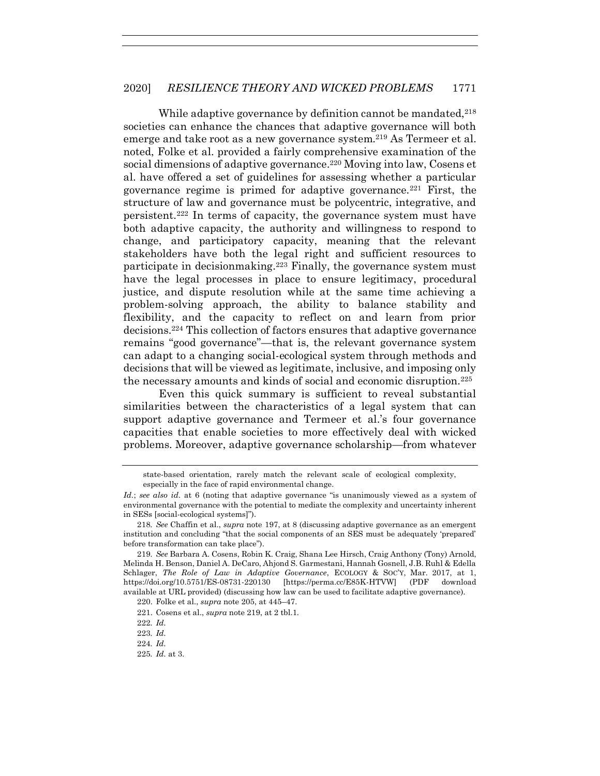<span id="page-38-0"></span>While adaptive governance by definition cannot be mandated, <sup>218</sup> societies can enhance the chances that adaptive governance will both emerge and take root as a new governance system.<sup>219</sup> As Termeer et al. noted, Folke et al. provided a fairly comprehensive examination of the social dimensions of adaptive governance.<sup>220</sup> Moving into law, Cosens et al. have offered a set of guidelines for assessing whether a particular governance regime is primed for adaptive governance.<sup>221</sup> First, the structure of law and governance must be polycentric, integrative, and persistent.<sup>222</sup> In terms of capacity, the governance system must have both adaptive capacity, the authority and willingness to respond to change, and participatory capacity, meaning that the relevant stakeholders have both the legal right and sufficient resources to participate in decisionmaking.<sup>223</sup> Finally, the governance system must have the legal processes in place to ensure legitimacy, procedural justice, and dispute resolution while at the same time achieving a problem-solving approach, the ability to balance stability and flexibility, and the capacity to reflect on and learn from prior decisions.<sup>224</sup> This collection of factors ensures that adaptive governance remains "good governance"—that is, the relevant governance system can adapt to a changing social-ecological system through methods and decisions that will be viewed as legitimate, inclusive, and imposing only the necessary amounts and kinds of social and economic disruption.<sup>225</sup>

Even this quick summary is sufficient to reveal substantial similarities between the characteristics of a legal system that can support adaptive governance and Termeer et al.'s four governance capacities that enable societies to more effectively deal with wicked problems. Moreover, adaptive governance scholarship—from whatever

state-based orientation, rarely match the relevant scale of ecological complexity, especially in the face of rapid environmental change.

*Id.*; *see also id.* at 6 (noting that adaptive governance "is unanimously viewed as a system of environmental governance with the potential to mediate the complexity and uncertainty inherent in SESs [social-ecological systems]").

<sup>218</sup>*. See* Chaffin et al., *supra* note [197,](#page-34-0) at 8 (discussing adaptive governance as an emergent institution and concluding "that the social components of an SES must be adequately 'prepared' before transformation can take place").

<sup>219</sup>*. See* Barbara A. Cosens, Robin K. Craig, Shana Lee Hirsch, Craig Anthony (Tony) Arnold, Melinda H. Benson, Daniel A. DeCaro, Ahjond S. Garmestani, Hannah Gosnell, J.B. Ruhl & Edella Schlager, *The Role of Law in Adaptive Governance*, ECOLOGY & SOC'Y, Mar. 2017, at 1, https://doi.org/10.5751/ES-08731-220130 [https://perma.cc/E85K-HTVW] (PDF download available at URL provided) (discussing how law can be used to facilitate adaptive governance).

<sup>220.</sup> Folke et al., *supra* not[e 205,](#page-36-0) at 445–47.

<sup>221.</sup> Cosens et al., *supra* note [219,](#page-38-0) at 2 tbl.1.

<sup>222</sup>*. Id.*

<sup>223</sup>*. Id.*

<sup>224</sup>*. Id.*

<sup>225</sup>*. Id.* at 3.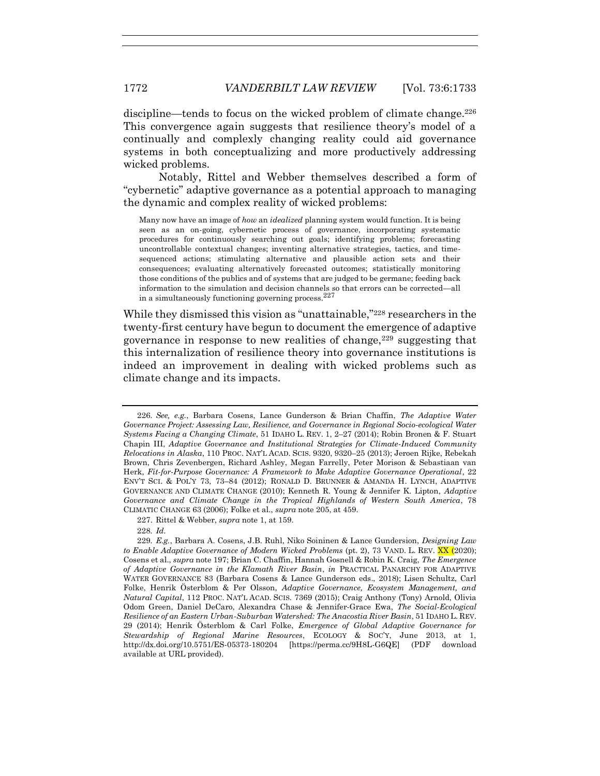discipline—tends to focus on the wicked problem of climate change.<sup>226</sup> This convergence again suggests that resilience theory's model of a continually and complexly changing reality could aid governance systems in both conceptualizing and more productively addressing wicked problems.

Notably, Rittel and Webber themselves described a form of "cybernetic" adaptive governance as a potential approach to managing the dynamic and complex reality of wicked problems:

Many now have an image of *how* an *idealized* planning system would function. It is being seen as an on-going, cybernetic process of governance, incorporating systematic procedures for continuously searching out goals; identifying problems; forecasting uncontrollable contextual changes; inventing alternative strategies, tactics, and timesequenced actions; stimulating alternative and plausible action sets and their consequences; evaluating alternatively forecasted outcomes; statistically monitoring those conditions of the publics and of systems that are judged to be germane; feeding back information to the simulation and decision channels so that errors can be corrected—all in a simultaneously functioning governing process.<sup>227</sup>

While they dismissed this vision as "unattainable,"<sup>228</sup> researchers in the twenty-first century have begun to document the emergence of adaptive governance in response to new realities of change,  $229$  suggesting that this internalization of resilience theory into governance institutions is indeed an improvement in dealing with wicked problems such as climate change and its impacts.

<sup>226</sup>*. See, e.g.*, Barbara Cosens, Lance Gunderson & Brian Chaffin, *The Adaptive Water Governance Project: Assessing Law, Resilience, and Governance in Regional Socio-ecological Water Systems Facing a Changing Climate*, 51 IDAHO L. REV. 1, 2–27 (2014); Robin Bronen & F. Stuart Chapin III, *Adaptive Governance and Institutional Strategies for Climate-Induced Community Relocations in Alaska*, 110 PROC. NAT'L ACAD. SCIS. 9320, 9320–25 (2013); Jeroen Rijke, Rebekah Brown, Chris Zevenbergen, Richard Ashley, Megan Farrelly, Peter Morison & Sebastiaan van Herk, *Fit-for-Purpose Governance: A Framework to Make Adaptive Governance Operational*, 22 ENV'T SCI. & POL'Y 73, 73–84 (2012); RONALD D. BRUNNER & AMANDA H. LYNCH, ADAPTIVE GOVERNANCE AND CLIMATE CHANGE (2010); Kenneth R. Young & Jennifer K. Lipton, *Adaptive Governance and Climate Change in the Tropical Highlands of Western South America*, 78 CLIMATIC CHANGE 63 (2006); Folke et al., *supra* not[e 205,](#page-36-0) at 459.

<sup>227.</sup> Rittel & Webber, *supra* not[e 1,](#page-2-0) at 159.

<sup>228</sup>*. Id.*

<sup>229</sup>*. E.g.*, Barbara A. Cosens, J.B. Ruhl, Niko Soininen & Lance Gundersion, *Designing Law to Enable Adaptive Governance of Modern Wicked Problems* (pt. 2), 73 VAND. L. REV. XX (2020); Cosens et al., *supra* note [197;](#page-34-0) Brian C. Chaffin, Hannah Gosnell & Robin K. Craig, *The Emergence of Adaptive Governance in the Klamath River Basin*, *in* PRACTICAL PANARCHY FOR ADAPTIVE WATER GOVERNANCE 83 (Barbara Cosens & Lance Gunderson eds., 2018); Lisen Schultz, Carl Folke, Henrik Österblom & Per Olsson, *Adaptive Governance, Ecosystem Management, and Natural Capital*, 112 PROC. NAT'L ACAD. SCIS. 7369 (2015); Craig Anthony (Tony) Arnold, Olivia Odom Green, Daniel DeCaro, Alexandra Chase & Jennifer-Grace Ewa, *The Social-Ecological Resilience of an Eastern Urban-Suburban Watershed: The Anacostia River Basin*, 51 IDAHO L. REV. 29 (2014); Henrik Österblom & Carl Folke, *Emergence of Global Adaptive Governance for Stewardship of Regional Marine Resources*, ECOLOGY & SOC'Y, June 2013, at 1, http://dx.doi.org/10.5751/ES-05373-180204 [https://perma.cc/9H8L-G6QE] (PDF download available at URL provided).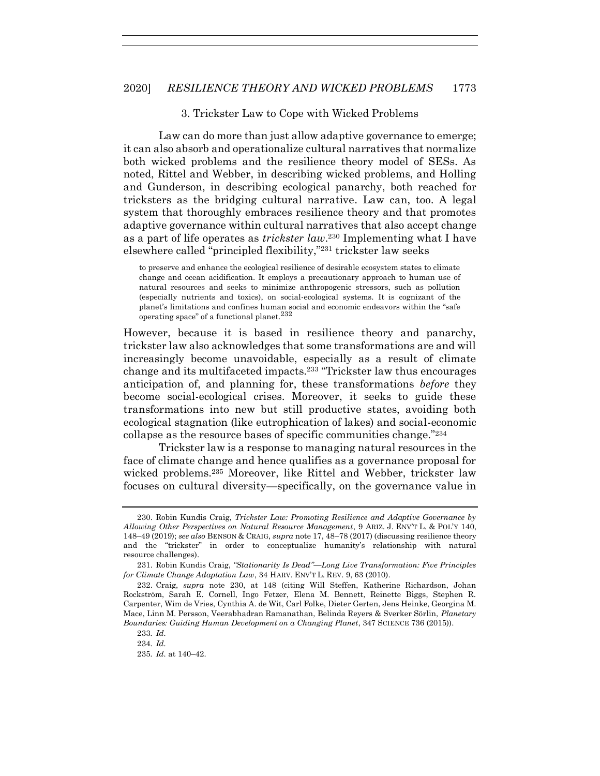#### 3. Trickster Law to Cope with Wicked Problems

Law can do more than just allow adaptive governance to emerge; it can also absorb and operationalize cultural narratives that normalize both wicked problems and the resilience theory model of SESs. As noted, Rittel and Webber, in describing wicked problems, and Holling and Gunderson, in describing ecological panarchy, both reached for tricksters as the bridging cultural narrative. Law can, too. A legal system that thoroughly embraces resilience theory and that promotes adaptive governance within cultural narratives that also accept change as a part of life operates as *trickster law*. <sup>230</sup> Implementing what I have elsewhere called "principled flexibility,"<sup>231</sup> trickster law seeks

<span id="page-40-0"></span>to preserve and enhance the ecological resilience of desirable ecosystem states to climate change and ocean acidification. It employs a precautionary approach to human use of natural resources and seeks to minimize anthropogenic stressors, such as pollution (especially nutrients and toxics), on social-ecological systems. It is cognizant of the planet's limitations and confines human social and economic endeavors within the "safe operating space" of a functional planet. $^{232}$ 

However, because it is based in resilience theory and panarchy, trickster law also acknowledges that some transformations are and will increasingly become unavoidable, especially as a result of climate change and its multifaceted impacts.<sup>233</sup> "Trickster law thus encourages anticipation of, and planning for, these transformations *before* they become social-ecological crises. Moreover, it seeks to guide these transformations into new but still productive states, avoiding both ecological stagnation (like eutrophication of lakes) and social-economic collapse as the resource bases of specific communities change."<sup>234</sup>

Trickster law is a response to managing natural resources in the face of climate change and hence qualifies as a governance proposal for wicked problems.<sup>235</sup> Moreover, like Rittel and Webber, trickster law focuses on cultural diversity—specifically, on the governance value in

<sup>230.</sup> Robin Kundis Craig, *Trickster Law: Promoting Resilience and Adaptive Governance by Allowing Other Perspectives on Natural Resource Management*, 9 ARIZ. J. ENV'T L. & POL'Y 140, 148–49 (2019); *see also* BENSON & CRAIG, *supra* not[e 17,](#page-3-0) 48–78 (2017) (discussing resilience theory and the "trickster" in order to conceptualize humanity's relationship with natural resource challenges).

<sup>231.</sup> Robin Kundis Craig, *"Stationarity Is Dead"—Long Live Transformation: Five Principles for Climate Change Adaptation Law*, 34 HARV. ENV'T L. REV. 9, 63 (2010).

<sup>232.</sup> Craig, *supra* note [230,](#page-40-0) at 148 (citing Will Steffen, Katherine Richardson, Johan Rockström, Sarah E. Cornell, Ingo Fetzer, Elena M. Bennett, Reinette Biggs, Stephen R. Carpenter, Wim de Vries, Cynthia A. de Wit, Carl Folke, Dieter Gerten, Jens Heinke, Georgina M. Mace, Linn M. Persson, Veerabhadran Ramanathan, Belinda Reyers & Sverker Sörlin, *Planetary Boundaries: Guiding Human Development on a Changing Planet*, 347 SCIENCE 736 (2015)).

<sup>233</sup>*. Id.*

<sup>234</sup>*. Id.*

<sup>235</sup>*. Id.* at 140–42.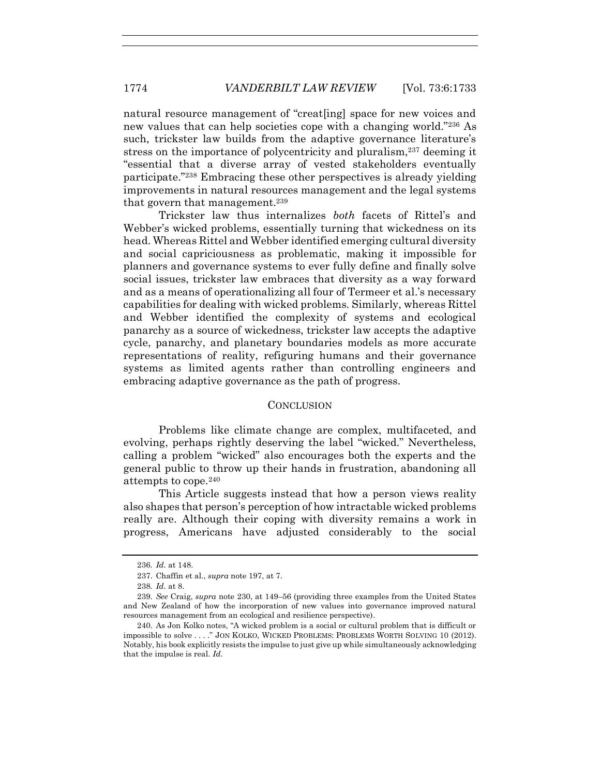natural resource management of "creat[ing] space for new voices and new values that can help societies cope with a changing world."<sup>236</sup> As such, trickster law builds from the adaptive governance literature's stress on the importance of polycentricity and pluralism,<sup>237</sup> deeming it "essential that a diverse array of vested stakeholders eventually participate."<sup>238</sup> Embracing these other perspectives is already yielding improvements in natural resources management and the legal systems that govern that management.<sup>239</sup>

Trickster law thus internalizes *both* facets of Rittel's and Webber's wicked problems, essentially turning that wickedness on its head. Whereas Rittel and Webber identified emerging cultural diversity and social capriciousness as problematic, making it impossible for planners and governance systems to ever fully define and finally solve social issues, trickster law embraces that diversity as a way forward and as a means of operationalizing all four of Termeer et al.'s necessary capabilities for dealing with wicked problems. Similarly, whereas Rittel and Webber identified the complexity of systems and ecological panarchy as a source of wickedness, trickster law accepts the adaptive cycle, panarchy, and planetary boundaries models as more accurate representations of reality, refiguring humans and their governance systems as limited agents rather than controlling engineers and embracing adaptive governance as the path of progress.

#### **CONCLUSION**

Problems like climate change are complex, multifaceted, and evolving, perhaps rightly deserving the label "wicked." Nevertheless, calling a problem "wicked" also encourages both the experts and the general public to throw up their hands in frustration, abandoning all attempts to cope.<sup>240</sup>

This Article suggests instead that how a person views reality also shapes that person's perception of how intractable wicked problems really are. Although their coping with diversity remains a work in progress, Americans have adjusted considerably to the social

<sup>236</sup>*. Id.* at 148.

<sup>237.</sup> Chaffin et al., *supra* not[e 197,](#page-34-0) at 7.

<sup>238</sup>*. Id.* at 8.

<sup>239</sup>*. See* Craig, *supra* note [230,](#page-40-0) at 149–56 (providing three examples from the United States and New Zealand of how the incorporation of new values into governance improved natural resources management from an ecological and resilience perspective).

<sup>240.</sup> As Jon Kolko notes, "A wicked problem is a social or cultural problem that is difficult or impossible to solve . . . ." JON KOLKO, WICKED PROBLEMS: PROBLEMS WORTH SOLVING 10 (2012). Notably, his book explicitly resists the impulse to just give up while simultaneously acknowledging that the impulse is real. *Id.*